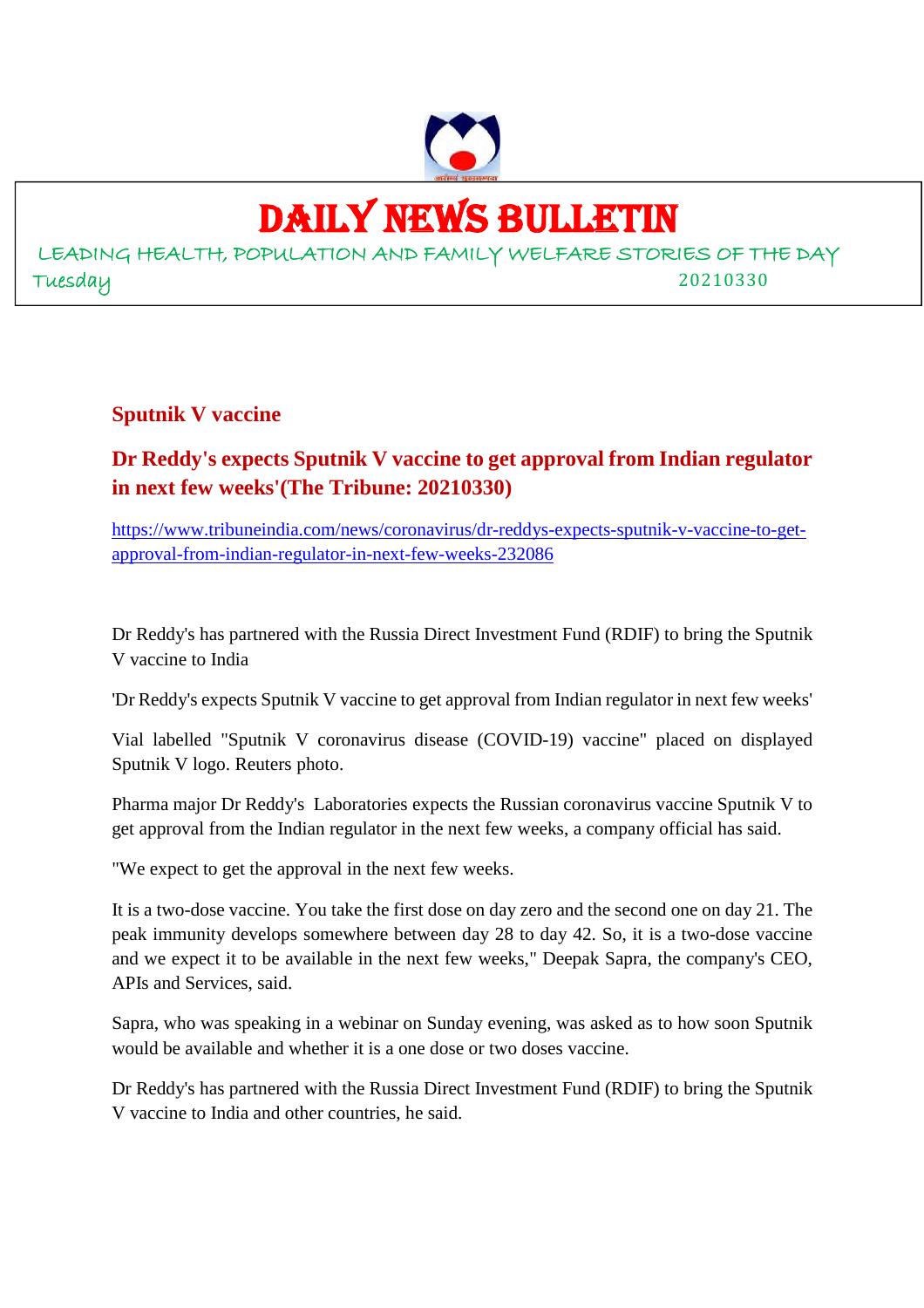

# DAILY NEWS BULLETIN

LEADING HEALTH, POPULATION AND FAMILY WELFARE STORIES OF THE DAY Tuesday 20210330

**Sputnik V vaccine**

# **Dr Reddy's expects Sputnik V vaccine to get approval from Indian regulator in next few weeks'(The Tribune: 20210330)**

https://www.tribuneindia.com/news/coronavirus/dr-reddys-expects-sputnik-v-vaccine-to-getapproval-from-indian-regulator-in-next-few-weeks-232086

Dr Reddy's has partnered with the Russia Direct Investment Fund (RDIF) to bring the Sputnik V vaccine to India

'Dr Reddy's expects Sputnik V vaccine to get approval from Indian regulator in next few weeks'

Vial labelled "Sputnik V coronavirus disease (COVID-19) vaccine" placed on displayed Sputnik V logo. Reuters photo.

Pharma major Dr Reddy's Laboratories expects the Russian coronavirus vaccine Sputnik V to get approval from the Indian regulator in the next few weeks, a company official has said.

"We expect to get the approval in the next few weeks.

It is a two-dose vaccine. You take the first dose on day zero and the second one on day 21. The peak immunity develops somewhere between day 28 to day 42. So, it is a two-dose vaccine and we expect it to be available in the next few weeks," Deepak Sapra, the company's CEO, APIs and Services, said.

Sapra, who was speaking in a webinar on Sunday evening, was asked as to how soon Sputnik would be available and whether it is a one dose or two doses vaccine.

Dr Reddy's has partnered with the Russia Direct Investment Fund (RDIF) to bring the Sputnik V vaccine to India and other countries, he said.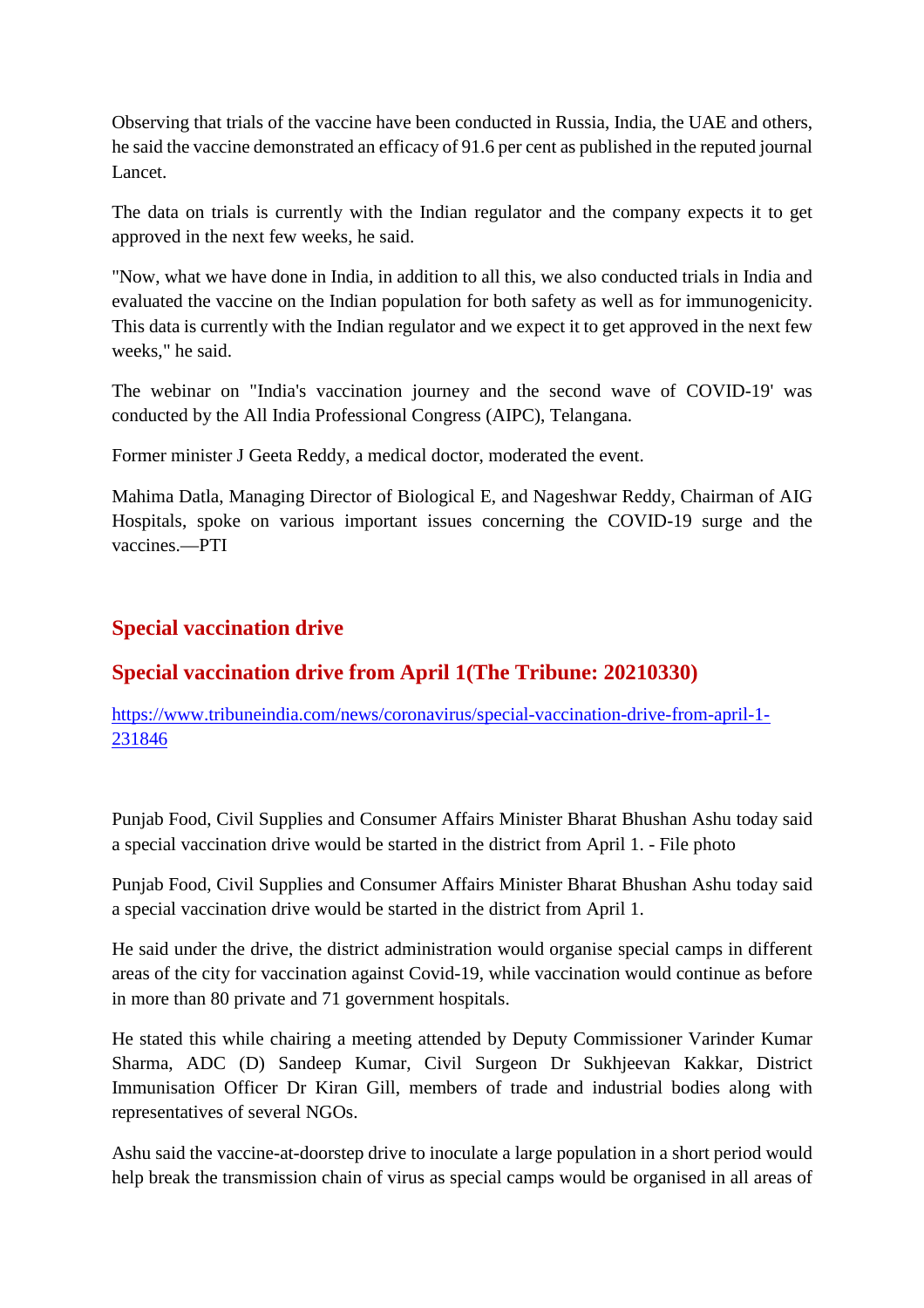Observing that trials of the vaccine have been conducted in Russia, India, the UAE and others, he said the vaccine demonstrated an efficacy of 91.6 per cent as published in the reputed journal Lancet.

The data on trials is currently with the Indian regulator and the company expects it to get approved in the next few weeks, he said.

"Now, what we have done in India, in addition to all this, we also conducted trials in India and evaluated the vaccine on the Indian population for both safety as well as for immunogenicity. This data is currently with the Indian regulator and we expect it to get approved in the next few weeks," he said.

The webinar on "India's vaccination journey and the second wave of COVID-19' was conducted by the All India Professional Congress (AIPC), Telangana.

Former minister J Geeta Reddy, a medical doctor, moderated the event.

Mahima Datla, Managing Director of Biological E, and Nageshwar Reddy, Chairman of AIG Hospitals, spoke on various important issues concerning the COVID-19 surge and the vaccines.—PTI

# **Special vaccination drive**

# **Special vaccination drive from April 1(The Tribune: 20210330)**

https://www.tribuneindia.com/news/coronavirus/special-vaccination-drive-from-april-1- 231846

Punjab Food, Civil Supplies and Consumer Affairs Minister Bharat Bhushan Ashu today said a special vaccination drive would be started in the district from April 1. - File photo

Punjab Food, Civil Supplies and Consumer Affairs Minister Bharat Bhushan Ashu today said a special vaccination drive would be started in the district from April 1.

He said under the drive, the district administration would organise special camps in different areas of the city for vaccination against Covid-19, while vaccination would continue as before in more than 80 private and 71 government hospitals.

He stated this while chairing a meeting attended by Deputy Commissioner Varinder Kumar Sharma, ADC (D) Sandeep Kumar, Civil Surgeon Dr Sukhjeevan Kakkar, District Immunisation Officer Dr Kiran Gill, members of trade and industrial bodies along with representatives of several NGOs.

Ashu said the vaccine-at-doorstep drive to inoculate a large population in a short period would help break the transmission chain of virus as special camps would be organised in all areas of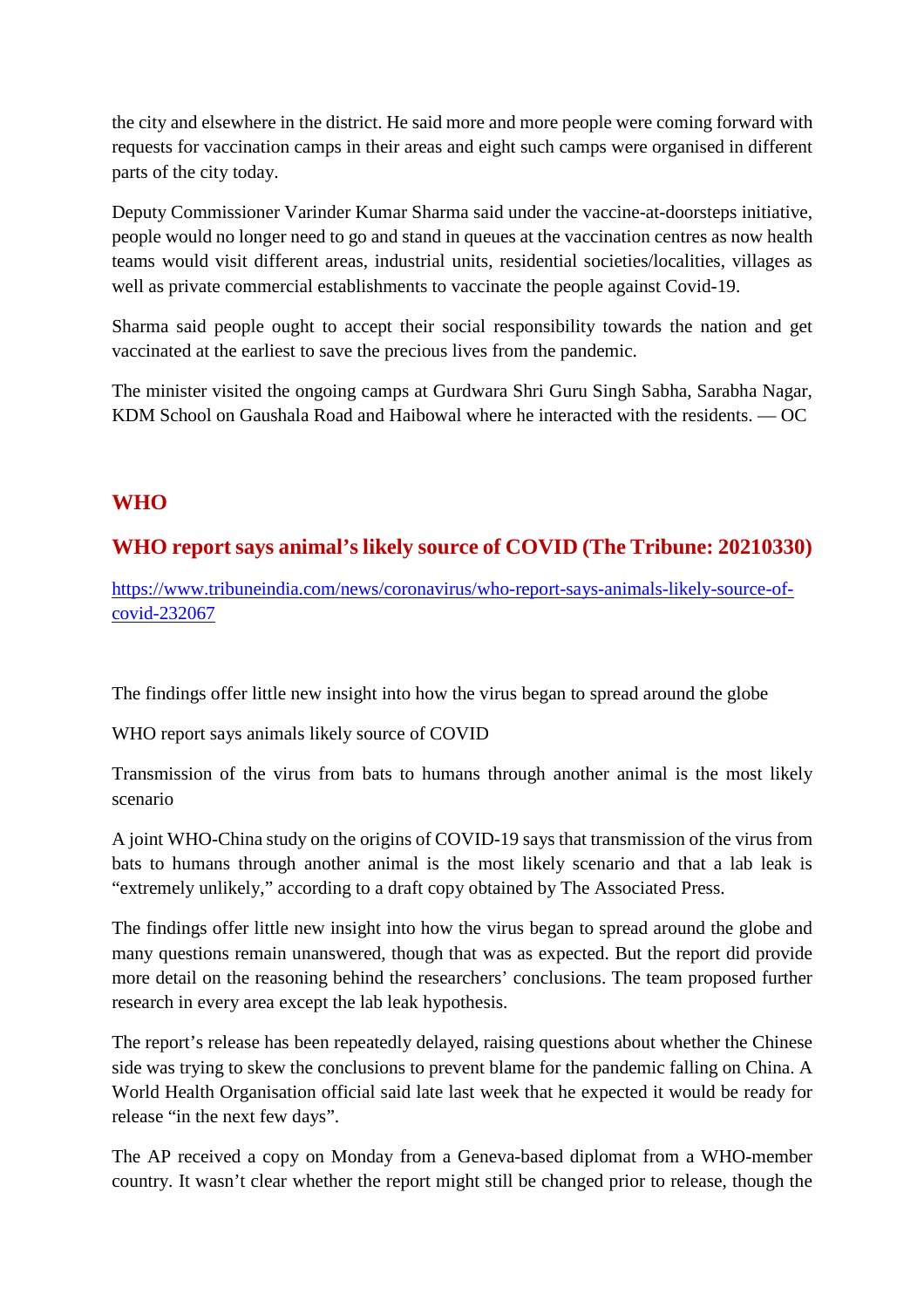the city and elsewhere in the district. He said more and more people were coming forward with requests for vaccination camps in their areas and eight such camps were organised in different parts of the city today.

Deputy Commissioner Varinder Kumar Sharma said under the vaccine-at-doorsteps initiative, people would no longer need to go and stand in queues at the vaccination centres as now health teams would visit different areas, industrial units, residential societies/localities, villages as well as private commercial establishments to vaccinate the people against Covid-19.

Sharma said people ought to accept their social responsibility towards the nation and get vaccinated at the earliest to save the precious lives from the pandemic.

The minister visited the ongoing camps at Gurdwara Shri Guru Singh Sabha, Sarabha Nagar, KDM School on Gaushala Road and Haibowal where he interacted with the residents. — OC

# **WHO**

# **WHO report says animal's likely source of COVID (The Tribune: 20210330)**

https://www.tribuneindia.com/news/coronavirus/who-report-says-animals-likely-source-ofcovid-232067

The findings offer little new insight into how the virus began to spread around the globe

WHO report says animals likely source of COVID

Transmission of the virus from bats to humans through another animal is the most likely scenario

A joint WHO-China study on the origins of COVID-19 says that transmission of the virus from bats to humans through another animal is the most likely scenario and that a lab leak is "extremely unlikely," according to a draft copy obtained by The Associated Press.

The findings offer little new insight into how the virus began to spread around the globe and many questions remain unanswered, though that was as expected. But the report did provide more detail on the reasoning behind the researchers' conclusions. The team proposed further research in every area except the lab leak hypothesis.

The report's release has been repeatedly delayed, raising questions about whether the Chinese side was trying to skew the conclusions to prevent blame for the pandemic falling on China. A World Health Organisation official said late last week that he expected it would be ready for release "in the next few days".

The AP received a copy on Monday from a Geneva-based diplomat from a WHO-member country. It wasn't clear whether the report might still be changed prior to release, though the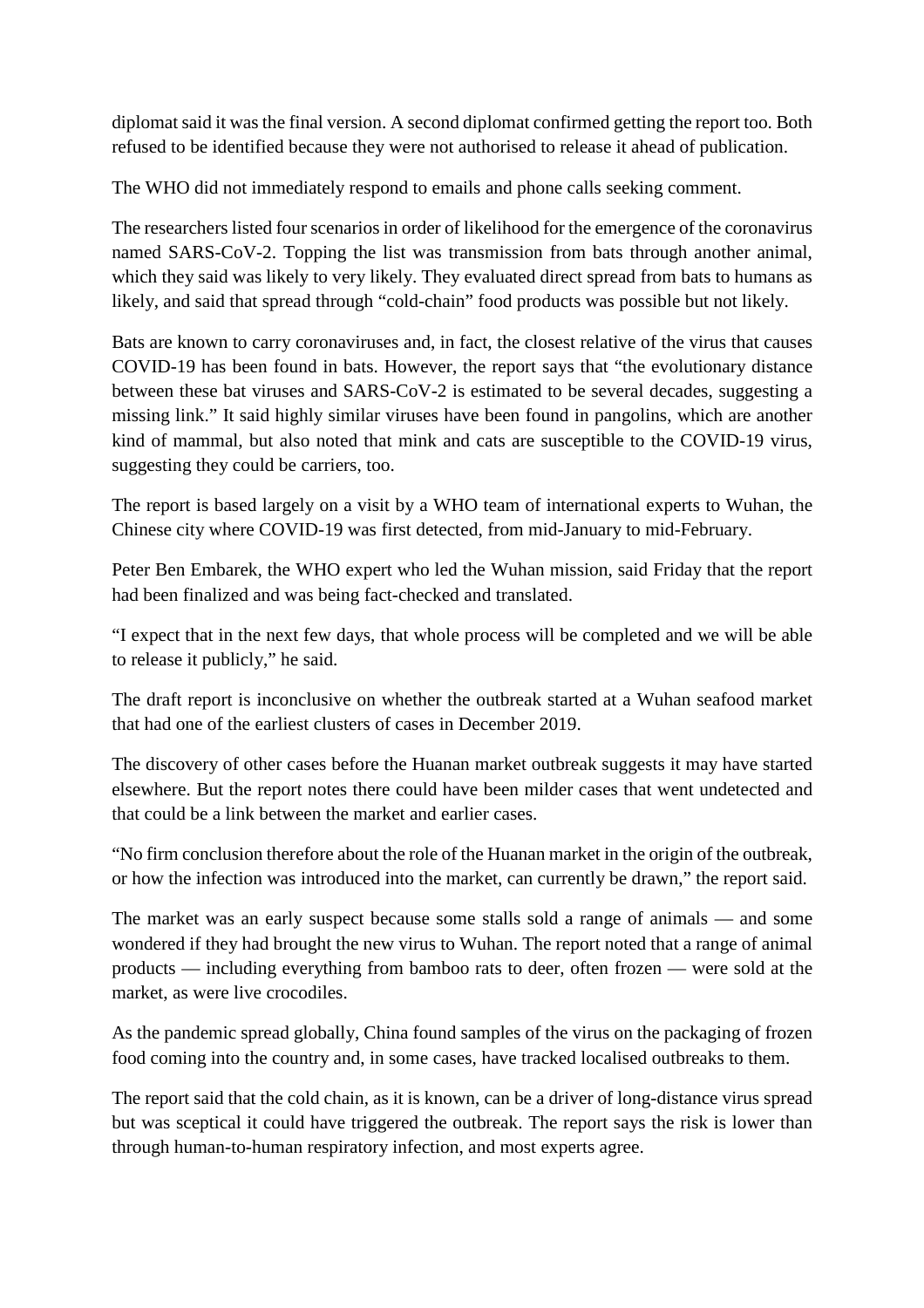diplomat said it was the final version. A second diplomat confirmed getting the report too. Both refused to be identified because they were not authorised to release it ahead of publication.

The WHO did not immediately respond to emails and phone calls seeking comment.

The researchers listed four scenarios in order of likelihood for the emergence of the coronavirus named SARS-CoV-2. Topping the list was transmission from bats through another animal, which they said was likely to very likely. They evaluated direct spread from bats to humans as likely, and said that spread through "cold-chain" food products was possible but not likely.

Bats are known to carry coronaviruses and, in fact, the closest relative of the virus that causes COVID-19 has been found in bats. However, the report says that "the evolutionary distance between these bat viruses and SARS-CoV-2 is estimated to be several decades, suggesting a missing link." It said highly similar viruses have been found in pangolins, which are another kind of mammal, but also noted that mink and cats are susceptible to the COVID-19 virus, suggesting they could be carriers, too.

The report is based largely on a visit by a WHO team of international experts to Wuhan, the Chinese city where COVID-19 was first detected, from mid-January to mid-February.

Peter Ben Embarek, the WHO expert who led the Wuhan mission, said Friday that the report had been finalized and was being fact-checked and translated.

"I expect that in the next few days, that whole process will be completed and we will be able to release it publicly," he said.

The draft report is inconclusive on whether the outbreak started at a Wuhan seafood market that had one of the earliest clusters of cases in December 2019.

The discovery of other cases before the Huanan market outbreak suggests it may have started elsewhere. But the report notes there could have been milder cases that went undetected and that could be a link between the market and earlier cases.

"No firm conclusion therefore about the role of the Huanan market in the origin of the outbreak, or how the infection was introduced into the market, can currently be drawn," the report said.

The market was an early suspect because some stalls sold a range of animals — and some wondered if they had brought the new virus to Wuhan. The report noted that a range of animal products — including everything from bamboo rats to deer, often frozen — were sold at the market, as were live crocodiles.

As the pandemic spread globally, China found samples of the virus on the packaging of frozen food coming into the country and, in some cases, have tracked localised outbreaks to them.

The report said that the cold chain, as it is known, can be a driver of long-distance virus spread but was sceptical it could have triggered the outbreak. The report says the risk is lower than through human-to-human respiratory infection, and most experts agree.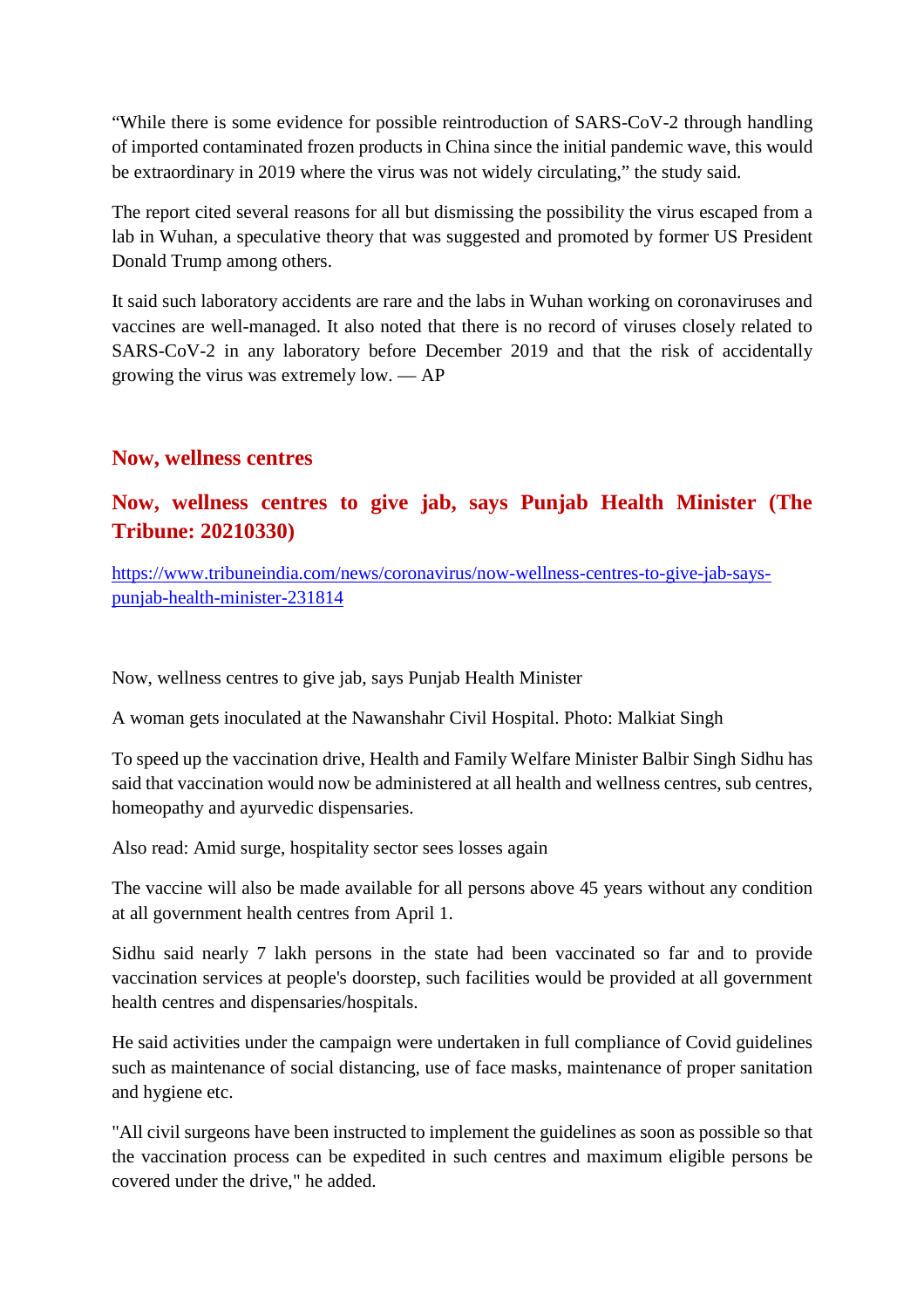"While there is some evidence for possible reintroduction of SARS-CoV-2 through handling of imported contaminated frozen products in China since the initial pandemic wave, this would be extraordinary in 2019 where the virus was not widely circulating," the study said.

The report cited several reasons for all but dismissing the possibility the virus escaped from a lab in Wuhan, a speculative theory that was suggested and promoted by former US President Donald Trump among others.

It said such laboratory accidents are rare and the labs in Wuhan working on coronaviruses and vaccines are well-managed. It also noted that there is no record of viruses closely related to SARS-CoV-2 in any laboratory before December 2019 and that the risk of accidentally growing the virus was extremely low. — AP

## **Now, wellness centres**

# **Now, wellness centres to give jab, says Punjab Health Minister (The Tribune: 20210330)**

https://www.tribuneindia.com/news/coronavirus/now-wellness-centres-to-give-jab-sayspunjab-health-minister-231814

Now, wellness centres to give jab, says Punjab Health Minister

A woman gets inoculated at the Nawanshahr Civil Hospital. Photo: Malkiat Singh

To speed up the vaccination drive, Health and Family Welfare Minister Balbir Singh Sidhu has said that vaccination would now be administered at all health and wellness centres, sub centres, homeopathy and ayurvedic dispensaries.

Also read: Amid surge, hospitality sector sees losses again

The vaccine will also be made available for all persons above 45 years without any condition at all government health centres from April 1.

Sidhu said nearly 7 lakh persons in the state had been vaccinated so far and to provide vaccination services at people's doorstep, such facilities would be provided at all government health centres and dispensaries/hospitals.

He said activities under the campaign were undertaken in full compliance of Covid guidelines such as maintenance of social distancing, use of face masks, maintenance of proper sanitation and hygiene etc.

"All civil surgeons have been instructed to implement the guidelines as soon as possible so that the vaccination process can be expedited in such centres and maximum eligible persons be covered under the drive," he added.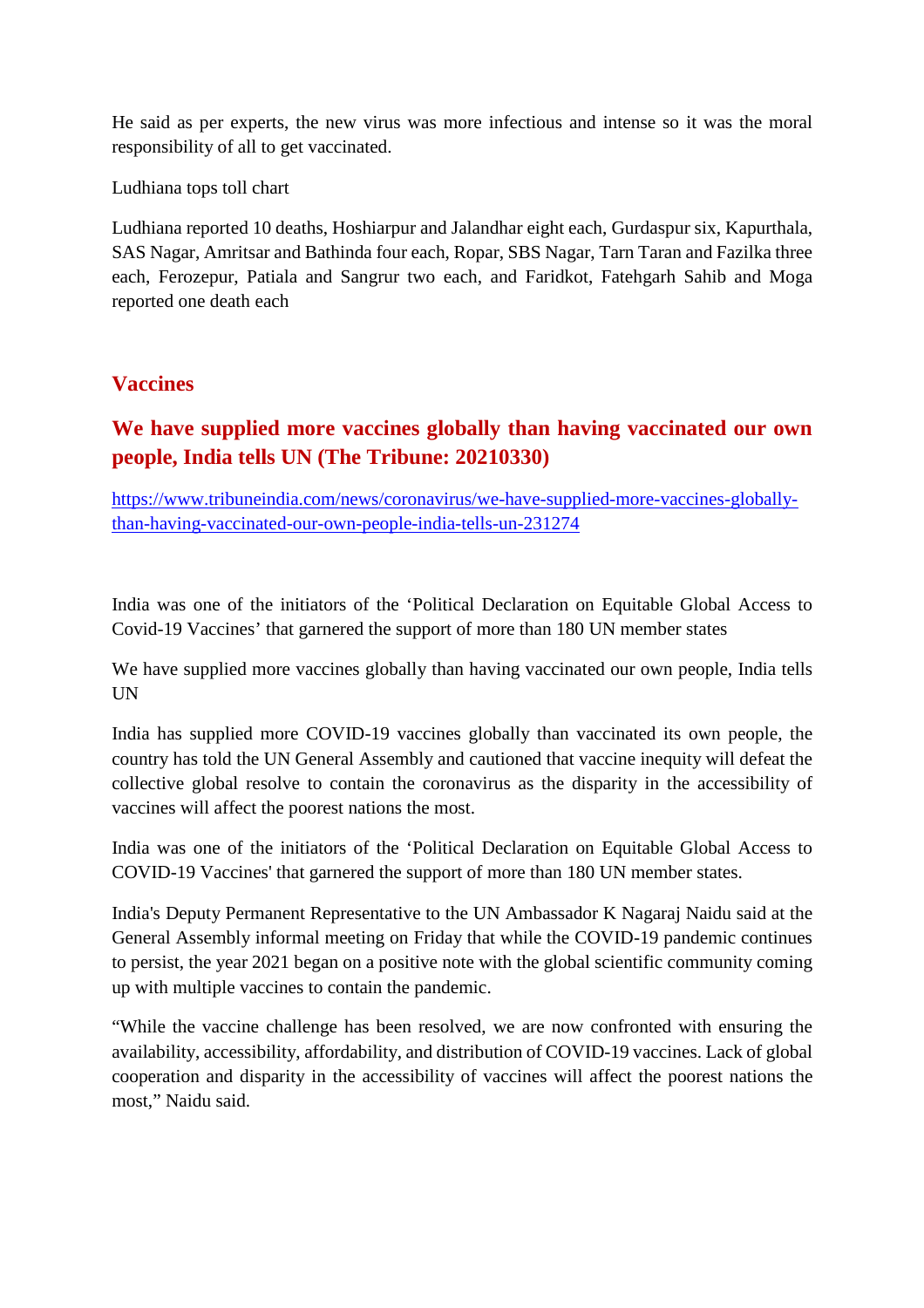He said as per experts, the new virus was more infectious and intense so it was the moral responsibility of all to get vaccinated.

Ludhiana tops toll chart

Ludhiana reported 10 deaths, Hoshiarpur and Jalandhar eight each, Gurdaspur six, Kapurthala, SAS Nagar, Amritsar and Bathinda four each, Ropar, SBS Nagar, Tarn Taran and Fazilka three each, Ferozepur, Patiala and Sangrur two each, and Faridkot, Fatehgarh Sahib and Moga reported one death each

## **Vaccines**

# **We have supplied more vaccines globally than having vaccinated our own people, India tells UN (The Tribune: 20210330)**

https://www.tribuneindia.com/news/coronavirus/we-have-supplied-more-vaccines-globallythan-having-vaccinated-our-own-people-india-tells-un-231274

India was one of the initiators of the 'Political Declaration on Equitable Global Access to Covid-19 Vaccines' that garnered the support of more than 180 UN member states

We have supplied more vaccines globally than having vaccinated our own people, India tells UN

India has supplied more COVID-19 vaccines globally than vaccinated its own people, the country has told the UN General Assembly and cautioned that vaccine inequity will defeat the collective global resolve to contain the coronavirus as the disparity in the accessibility of vaccines will affect the poorest nations the most.

India was one of the initiators of the 'Political Declaration on Equitable Global Access to COVID-19 Vaccines' that garnered the support of more than 180 UN member states.

India's Deputy Permanent Representative to the UN Ambassador K Nagaraj Naidu said at the General Assembly informal meeting on Friday that while the COVID-19 pandemic continues to persist, the year 2021 began on a positive note with the global scientific community coming up with multiple vaccines to contain the pandemic.

"While the vaccine challenge has been resolved, we are now confronted with ensuring the availability, accessibility, affordability, and distribution of COVID-19 vaccines. Lack of global cooperation and disparity in the accessibility of vaccines will affect the poorest nations the most," Naidu said.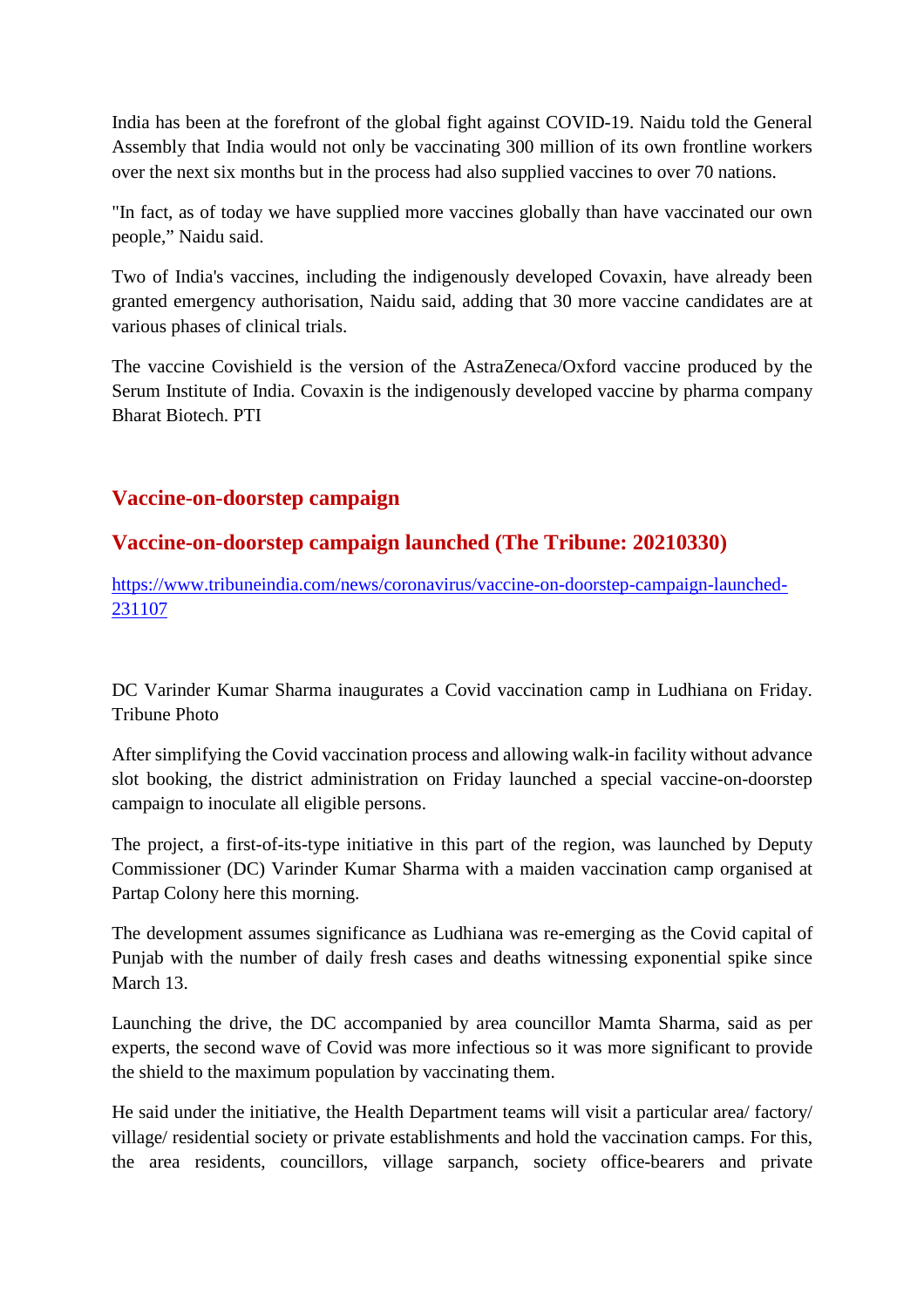India has been at the forefront of the global fight against COVID-19. Naidu told the General Assembly that India would not only be vaccinating 300 million of its own frontline workers over the next six months but in the process had also supplied vaccines to over 70 nations.

"In fact, as of today we have supplied more vaccines globally than have vaccinated our own people," Naidu said.

Two of India's vaccines, including the indigenously developed Covaxin, have already been granted emergency authorisation, Naidu said, adding that 30 more vaccine candidates are at various phases of clinical trials.

The vaccine Covishield is the version of the AstraZeneca/Oxford vaccine produced by the Serum Institute of India. Covaxin is the indigenously developed vaccine by pharma company Bharat Biotech. PTI

# **Vaccine-on-doorstep campaign**

# **Vaccine-on-doorstep campaign launched (The Tribune: 20210330)**

https://www.tribuneindia.com/news/coronavirus/vaccine-on-doorstep-campaign-launched-231107

DC Varinder Kumar Sharma inaugurates a Covid vaccination camp in Ludhiana on Friday. Tribune Photo

After simplifying the Covid vaccination process and allowing walk-in facility without advance slot booking, the district administration on Friday launched a special vaccine-on-doorstep campaign to inoculate all eligible persons.

The project, a first-of-its-type initiative in this part of the region, was launched by Deputy Commissioner (DC) Varinder Kumar Sharma with a maiden vaccination camp organised at Partap Colony here this morning.

The development assumes significance as Ludhiana was re-emerging as the Covid capital of Punjab with the number of daily fresh cases and deaths witnessing exponential spike since March 13.

Launching the drive, the DC accompanied by area councillor Mamta Sharma, said as per experts, the second wave of Covid was more infectious so it was more significant to provide the shield to the maximum population by vaccinating them.

He said under the initiative, the Health Department teams will visit a particular area/ factory/ village/ residential society or private establishments and hold the vaccination camps. For this, the area residents, councillors, village sarpanch, society office-bearers and private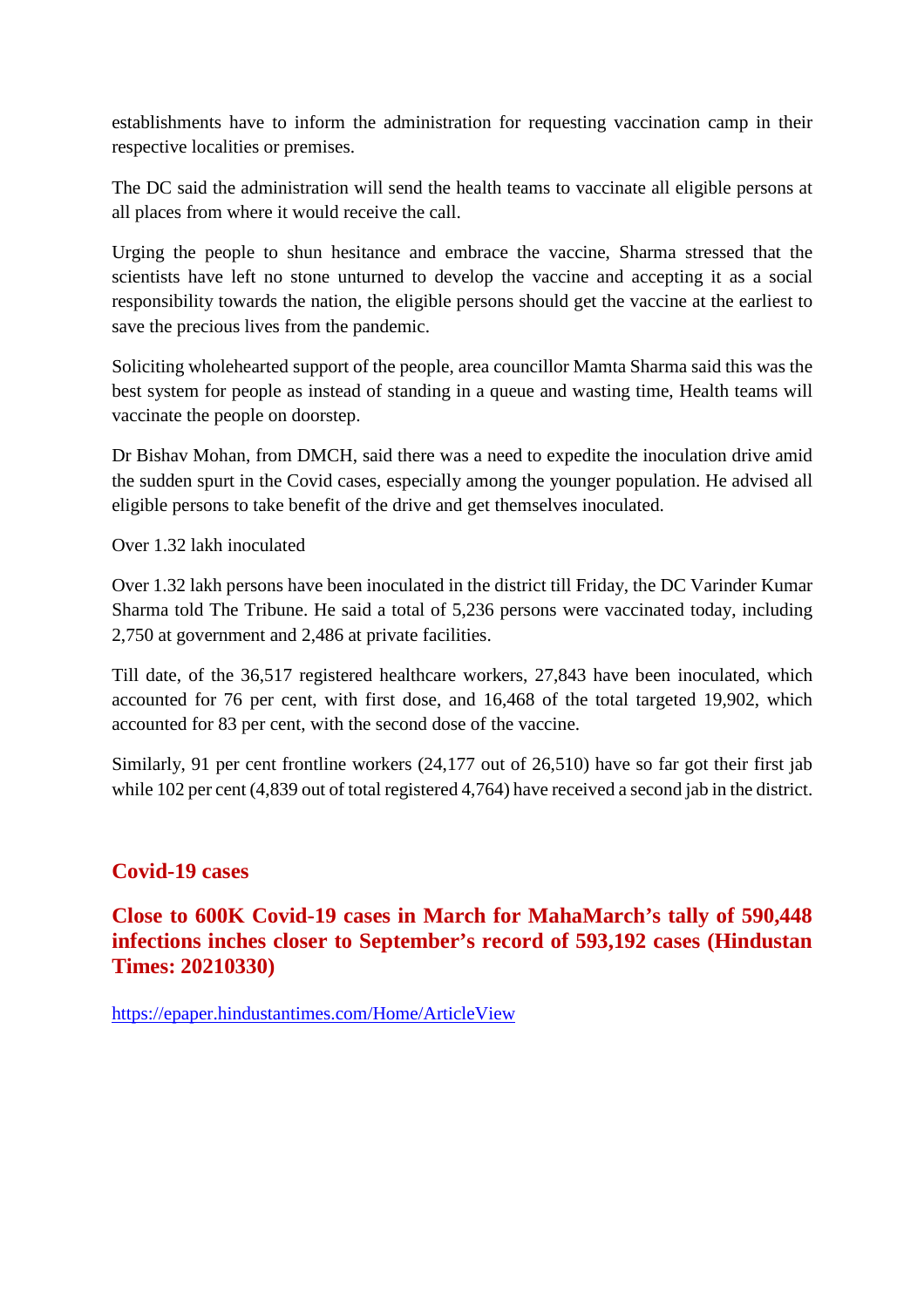establishments have to inform the administration for requesting vaccination camp in their respective localities or premises.

The DC said the administration will send the health teams to vaccinate all eligible persons at all places from where it would receive the call.

Urging the people to shun hesitance and embrace the vaccine, Sharma stressed that the scientists have left no stone unturned to develop the vaccine and accepting it as a social responsibility towards the nation, the eligible persons should get the vaccine at the earliest to save the precious lives from the pandemic.

Soliciting wholehearted support of the people, area councillor Mamta Sharma said this was the best system for people as instead of standing in a queue and wasting time, Health teams will vaccinate the people on doorstep.

Dr Bishav Mohan, from DMCH, said there was a need to expedite the inoculation drive amid the sudden spurt in the Covid cases, especially among the younger population. He advised all eligible persons to take benefit of the drive and get themselves inoculated.

Over 1.32 lakh inoculated

Over 1.32 lakh persons have been inoculated in the district till Friday, the DC Varinder Kumar Sharma told The Tribune. He said a total of 5,236 persons were vaccinated today, including 2,750 at government and 2,486 at private facilities.

Till date, of the 36,517 registered healthcare workers, 27,843 have been inoculated, which accounted for 76 per cent, with first dose, and 16,468 of the total targeted 19,902, which accounted for 83 per cent, with the second dose of the vaccine.

Similarly, 91 per cent frontline workers (24,177 out of 26,510) have so far got their first jab while 102 per cent (4,839 out of total registered 4,764) have received a second jab in the district.

# **Covid-19 cases**

# **Close to 600K Covid-19 cases in March for MahaMarch's tally of 590,448 infections inches closer to September's record of 593,192 cases (Hindustan Times: 20210330)**

https://epaper.hindustantimes.com/Home/ArticleView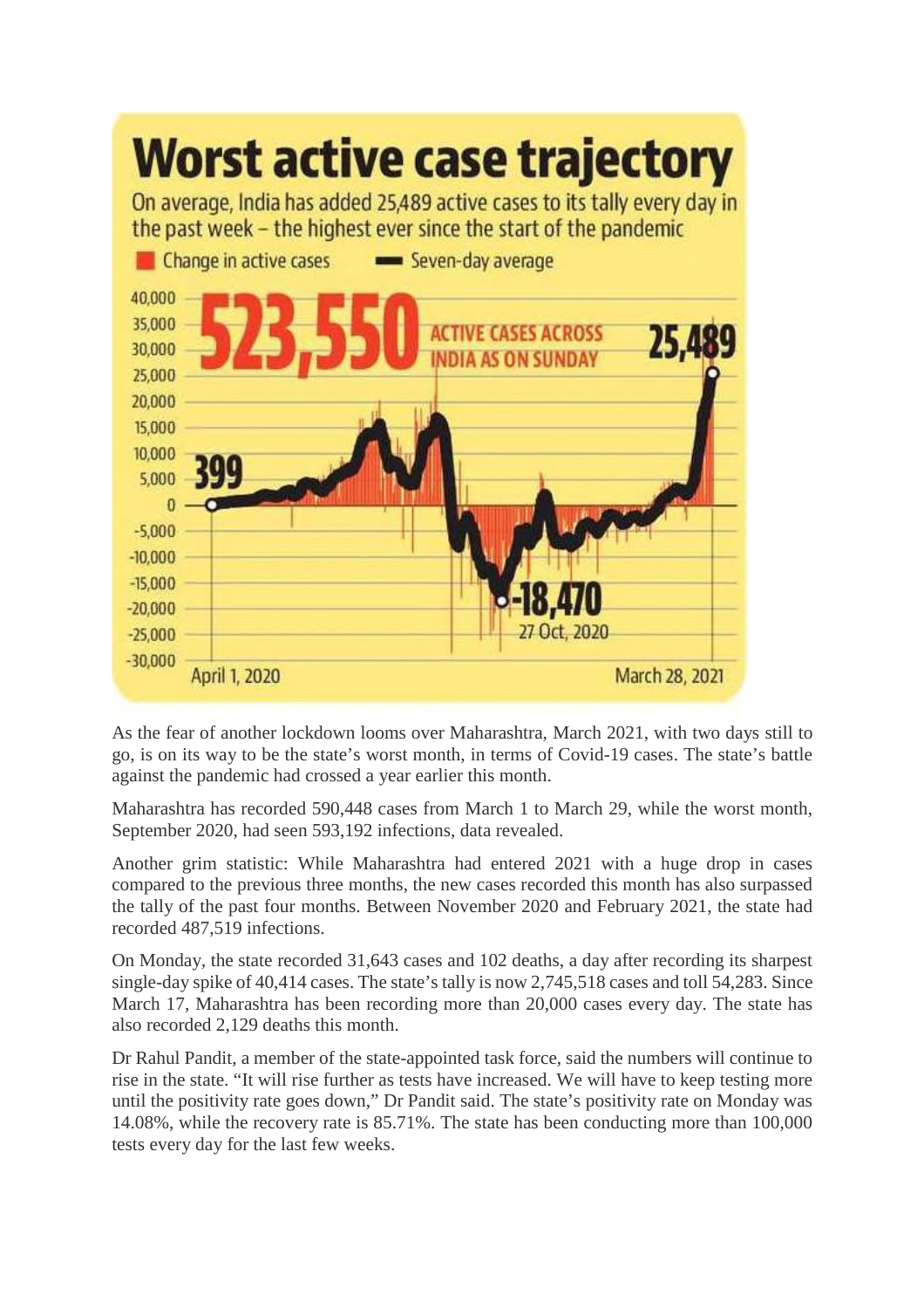

As the fear of another lockdown looms over Maharashtra, March 2021, with two days still to go, is on its way to be the state's worst month, in terms of Covid-19 cases. The state's battle against the pandemic had crossed a year earlier this month.

Maharashtra has recorded 590,448 cases from March 1 to March 29, while the worst month, September 2020, had seen 593,192 infections, data revealed.

Another grim statistic: While Maharashtra had entered 2021 with a huge drop in cases compared to the previous three months, the new cases recorded this month has also surpassed the tally of the past four months. Between November 2020 and February 2021, the state had recorded 487,519 infections.

On Monday, the state recorded 31,643 cases and 102 deaths, a day after recording its sharpest single-day spike of 40,414 cases. The state's tally is now 2,745,518 cases and toll 54,283. Since March 17, Maharashtra has been recording more than 20,000 cases every day. The state has also recorded 2,129 deaths this month.

Dr Rahul Pandit, a member of the state-appointed task force, said the numbers will continue to rise in the state. "It will rise further as tests have increased. We will have to keep testing more until the positivity rate goes down," Dr Pandit said. The state's positivity rate on Monday was 14.08%, while the recovery rate is 85.71%. The state has been conducting more than 100,000 tests every day for the last few weeks.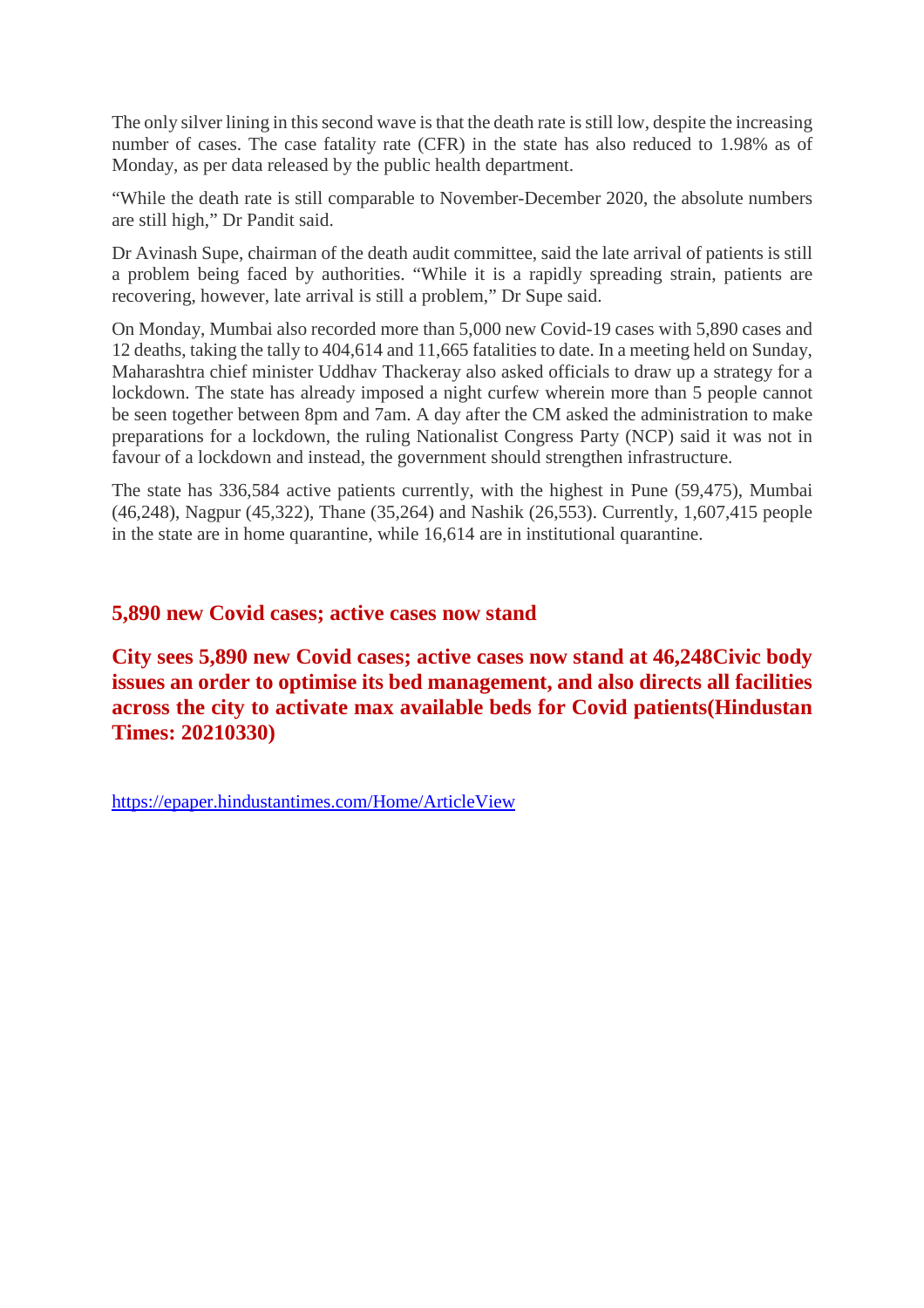The only silver lining in this second wave is that the death rate is still low, despite the increasing number of cases. The case fatality rate (CFR) in the state has also reduced to 1.98% as of Monday, as per data released by the public health department.

"While the death rate is still comparable to November-December 2020, the absolute numbers are still high," Dr Pandit said.

Dr Avinash Supe, chairman of the death audit committee, said the late arrival of patients is still a problem being faced by authorities. "While it is a rapidly spreading strain, patients are recovering, however, late arrival is still a problem," Dr Supe said.

On Monday, Mumbai also recorded more than 5,000 new Covid-19 cases with 5,890 cases and 12 deaths, taking the tally to 404,614 and 11,665 fatalities to date. In a meeting held on Sunday, Maharashtra chief minister Uddhav Thackeray also asked officials to draw up a strategy for a lockdown. The state has already imposed a night curfew wherein more than 5 people cannot be seen together between 8pm and 7am. A day after the CM asked the administration to make preparations for a lockdown, the ruling Nationalist Congress Party (NCP) said it was not in favour of a lockdown and instead, the government should strengthen infrastructure.

The state has 336,584 active patients currently, with the highest in Pune (59,475), Mumbai (46,248), Nagpur (45,322), Thane (35,264) and Nashik (26,553). Currently, 1,607,415 people in the state are in home quarantine, while 16,614 are in institutional quarantine.

#### **5,890 new Covid cases; active cases now stand**

**City sees 5,890 new Covid cases; active cases now stand at 46,248Civic body issues an order to optimise its bed management, and also directs all facilities across the city to activate max available beds for Covid patients(Hindustan Times: 20210330)**

https://epaper.hindustantimes.com/Home/ArticleView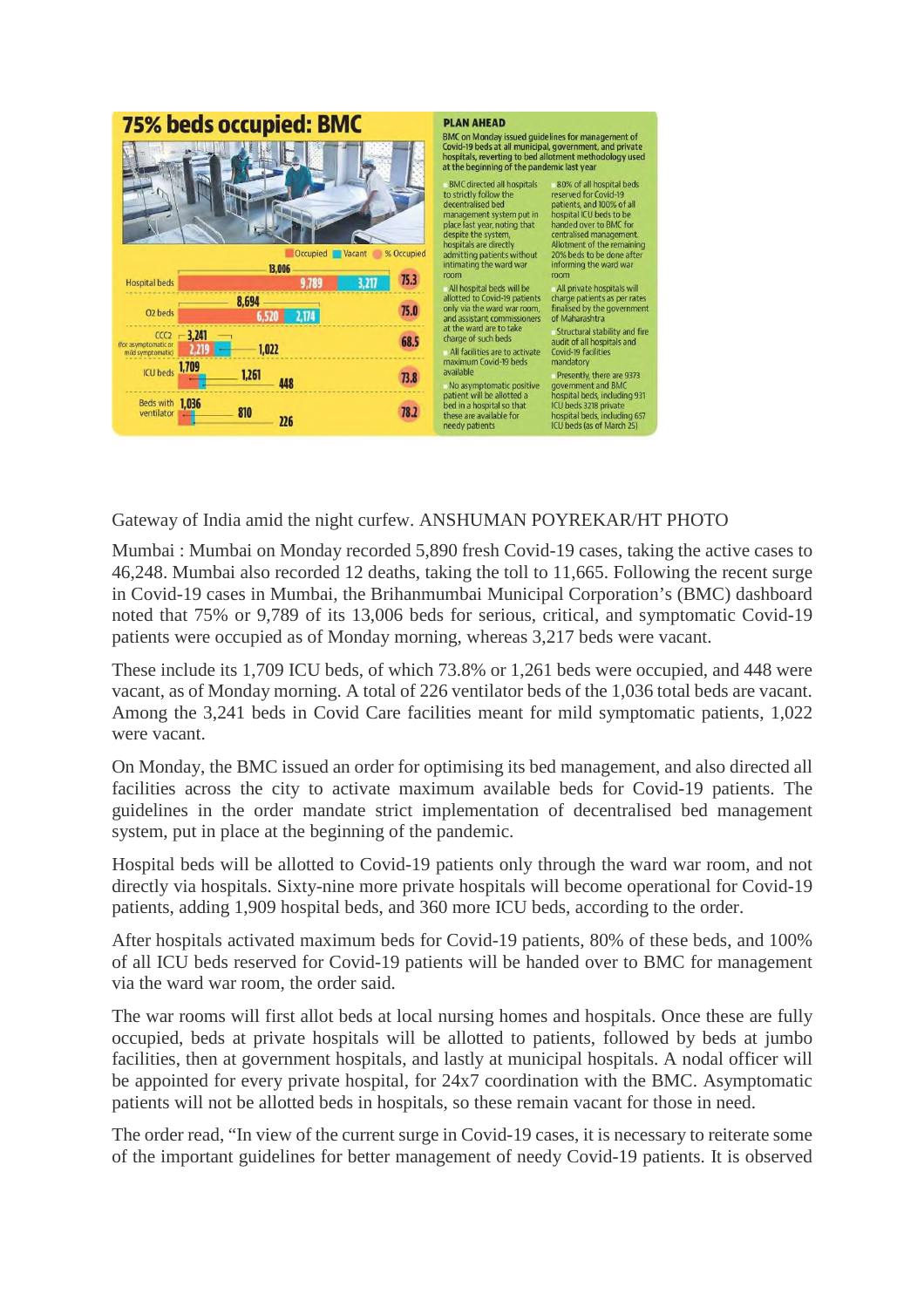| <b>75% beds occupied: BMC</b>                                                | <b>PLAN AHEAD</b><br>BMC on Monday issued quidelines for management of<br>Covid-19 beds at all municipal, government, and private<br>hospitals, reverting to bed allotment methodology used<br>at the beginning of the pandemic last year<br><b>BMC</b> directed all hospitals<br>80% of all hospital beds                                                                                                                                                           |
|------------------------------------------------------------------------------|----------------------------------------------------------------------------------------------------------------------------------------------------------------------------------------------------------------------------------------------------------------------------------------------------------------------------------------------------------------------------------------------------------------------------------------------------------------------|
| % Occupied<br>Occupied<br><b>Vacant</b><br>13.006                            | reserved for Covid-19<br>to strictly follow the<br>decentralised bed<br>patients, and 100% of all<br>hospital ICU beds to be<br>management system put in<br>handed over to BMC for<br>place last year, noting that<br>despite the system.<br>centralised management.<br>hospitals are directly<br>Allotment of the remaining<br>20% beds to be done after<br>admitting patients without<br>intimating the ward war<br>informing the ward war<br>room<br>room<br>75.3 |
| <b>Hospital beds</b><br>8.694<br>O <sub>2</sub> beds<br>2.174                | All hospital beds will be<br>All private hospitals will<br>allotted to Covid-19 patients<br>charge patients as per rates<br>only via the ward war room.<br>finalised by the government<br>75.N<br>and assistant commissioners<br>of Maharashtra                                                                                                                                                                                                                      |
| 3.241<br>CCC2<br>(for asymptomatic or<br>2.219<br>1.022<br>mild symptomatic) | at the ward are to take<br>Structural stability and fire<br>charge of such beds<br>68.5<br>audit of all hospitals and<br>All facilities are to activate<br>Covid-19 facilities<br>maximum Covid-19 beds<br>mandatory                                                                                                                                                                                                                                                 |
| 1,709<br><b>ICU</b> beds<br>1.261<br>73.8<br>448                             | available<br>Presently, there are 9373<br>No asymptomatic positive<br>government and BMC<br>patient will be allotted a<br>hospital beds, including 931                                                                                                                                                                                                                                                                                                               |
| 1.036<br><b>Beds with</b><br>810<br>78.2<br>ventilator<br>226                | bed in a hospital so that<br>ICU beds 3218 private<br>these are available for<br>hospital beds, including 657<br>ICU beds (as of March 25)<br>needy patients                                                                                                                                                                                                                                                                                                         |

Gateway of India amid the night curfew. ANSHUMAN POYREKAR/HT PHOTO

Mumbai : Mumbai on Monday recorded 5,890 fresh Covid-19 cases, taking the active cases to 46,248. Mumbai also recorded 12 deaths, taking the toll to 11,665. Following the recent surge in Covid-19 cases in Mumbai, the Brihanmumbai Municipal Corporation's (BMC) dashboard noted that 75% or 9,789 of its 13,006 beds for serious, critical, and symptomatic Covid-19 patients were occupied as of Monday morning, whereas 3,217 beds were vacant.

These include its 1,709 ICU beds, of which 73.8% or 1,261 beds were occupied, and 448 were vacant, as of Monday morning. A total of 226 ventilator beds of the 1,036 total beds are vacant. Among the 3,241 beds in Covid Care facilities meant for mild symptomatic patients, 1,022 were vacant.

On Monday, the BMC issued an order for optimising its bed management, and also directed all facilities across the city to activate maximum available beds for Covid-19 patients. The guidelines in the order mandate strict implementation of decentralised bed management system, put in place at the beginning of the pandemic.

Hospital beds will be allotted to Covid-19 patients only through the ward war room, and not directly via hospitals. Sixty-nine more private hospitals will become operational for Covid-19 patients, adding 1,909 hospital beds, and 360 more ICU beds, according to the order.

After hospitals activated maximum beds for Covid-19 patients, 80% of these beds, and 100% of all ICU beds reserved for Covid-19 patients will be handed over to BMC for management via the ward war room, the order said.

The war rooms will first allot beds at local nursing homes and hospitals. Once these are fully occupied, beds at private hospitals will be allotted to patients, followed by beds at jumbo facilities, then at government hospitals, and lastly at municipal hospitals. A nodal officer will be appointed for every private hospital, for 24x7 coordination with the BMC. Asymptomatic patients will not be allotted beds in hospitals, so these remain vacant for those in need.

The order read, "In view of the current surge in Covid-19 cases, it is necessary to reiterate some of the important guidelines for better management of needy Covid-19 patients. It is observed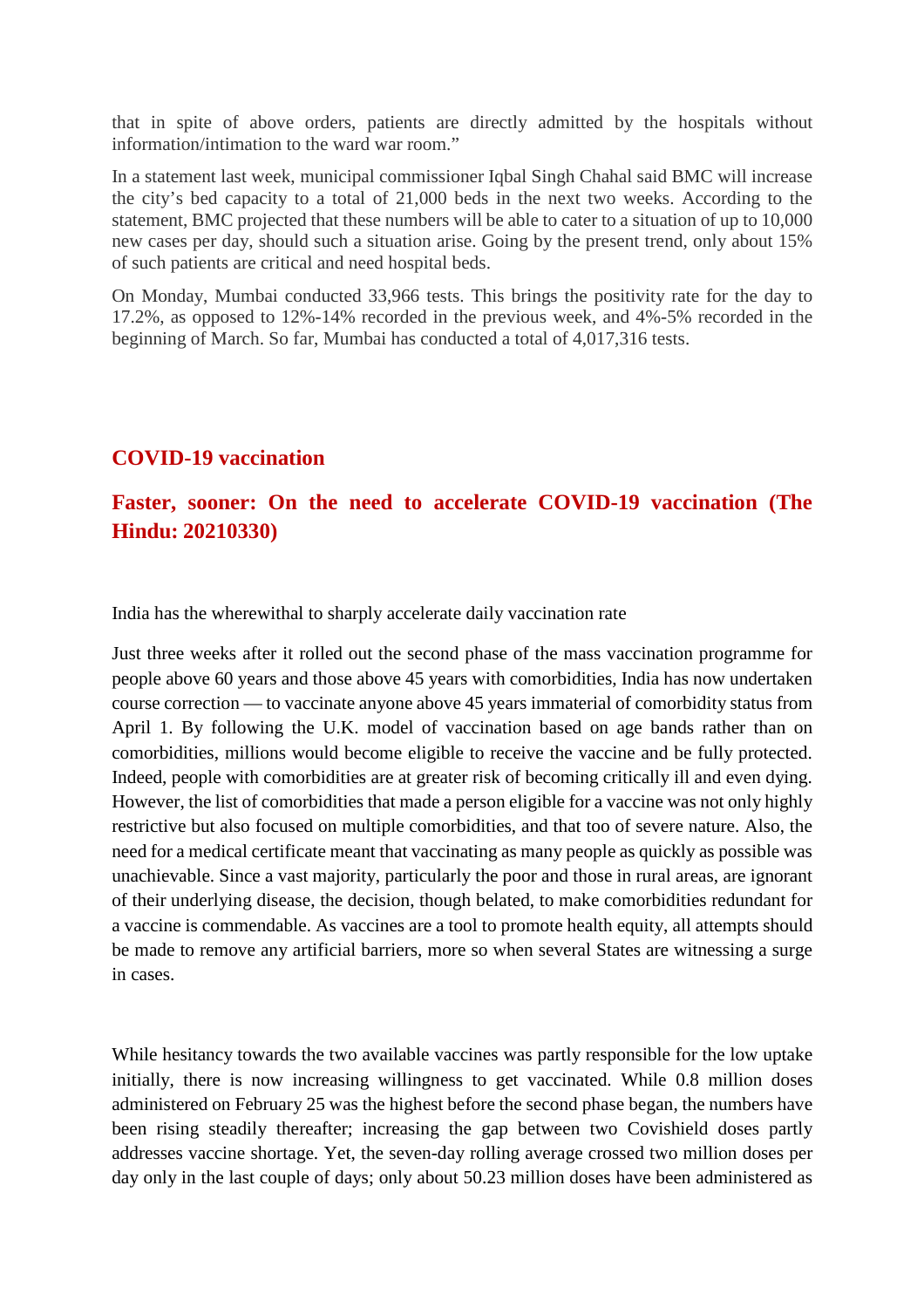that in spite of above orders, patients are directly admitted by the hospitals without information/intimation to the ward war room."

In a statement last week, municipal commissioner Iqbal Singh Chahal said BMC will increase the city's bed capacity to a total of 21,000 beds in the next two weeks. According to the statement, BMC projected that these numbers will be able to cater to a situation of up to 10,000 new cases per day, should such a situation arise. Going by the present trend, only about 15% of such patients are critical and need hospital beds.

On Monday, Mumbai conducted 33,966 tests. This brings the positivity rate for the day to 17.2%, as opposed to 12%-14% recorded in the previous week, and 4%-5% recorded in the beginning of March. So far, Mumbai has conducted a total of 4,017,316 tests.

#### **COVID-19 vaccination**

# **Faster, sooner: On the need to accelerate COVID-19 vaccination (The Hindu: 20210330)**

India has the wherewithal to sharply accelerate daily vaccination rate

Just three weeks after it rolled out the second phase of the mass vaccination programme for people above 60 years and those above 45 years with comorbidities, India has now undertaken course correction — to vaccinate anyone above 45 years immaterial of comorbidity status from April 1. By following the U.K. model of vaccination based on age bands rather than on comorbidities, millions would become eligible to receive the vaccine and be fully protected. Indeed, people with comorbidities are at greater risk of becoming critically ill and even dying. However, the list of comorbidities that made a person eligible for a vaccine was not only highly restrictive but also focused on multiple comorbidities, and that too of severe nature. Also, the need for a medical certificate meant that vaccinating as many people as quickly as possible was unachievable. Since a vast majority, particularly the poor and those in rural areas, are ignorant of their underlying disease, the decision, though belated, to make comorbidities redundant for a vaccine is commendable. As vaccines are a tool to promote health equity, all attempts should be made to remove any artificial barriers, more so when several States are witnessing a surge in cases.

While hesitancy towards the two available vaccines was partly responsible for the low uptake initially, there is now increasing willingness to get vaccinated. While 0.8 million doses administered on February 25 was the highest before the second phase began, the numbers have been rising steadily thereafter; increasing the gap between two Covishield doses partly addresses vaccine shortage. Yet, the seven-day rolling average crossed two million doses per day only in the last couple of days; only about 50.23 million doses have been administered as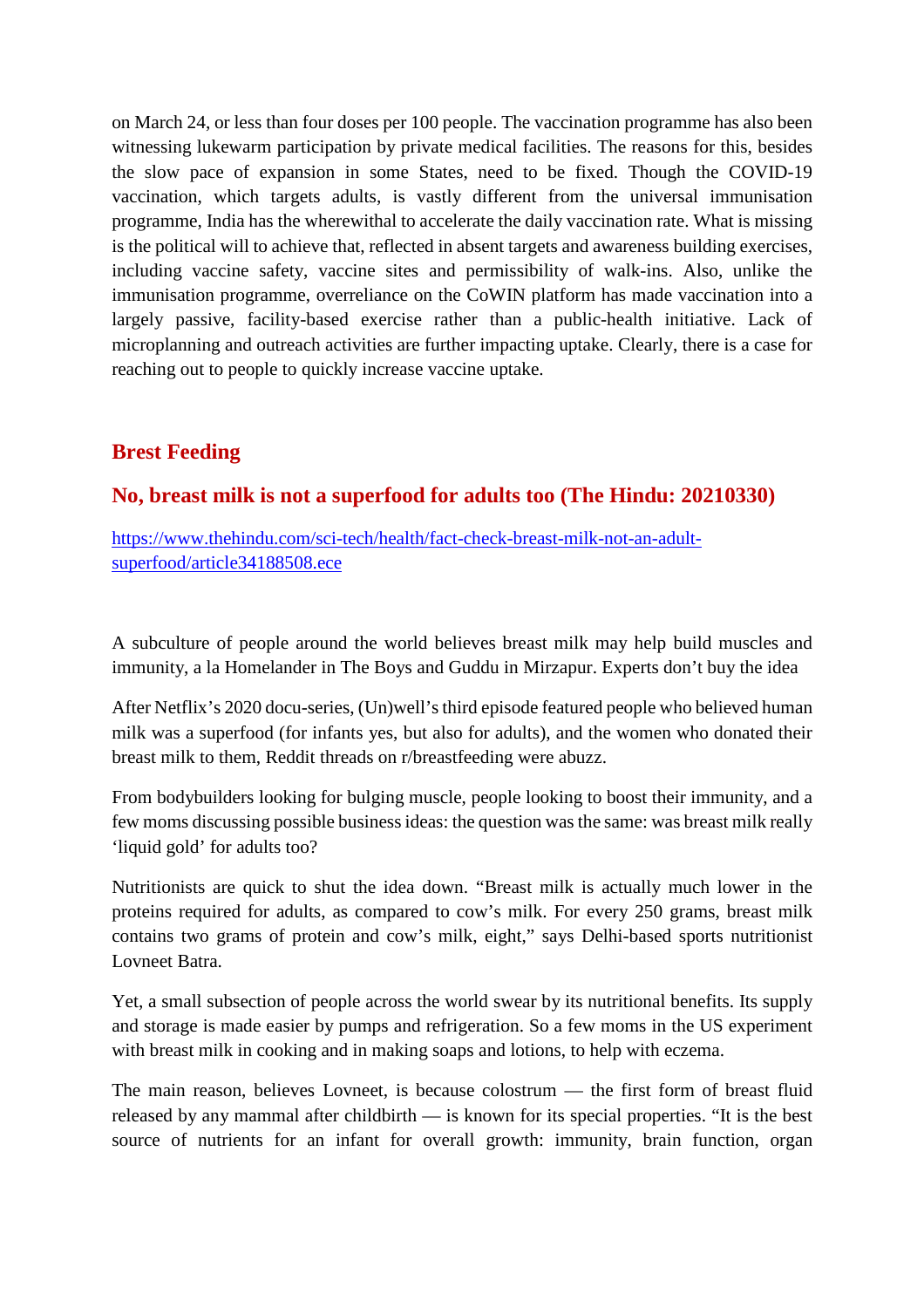on March 24, or less than four doses per 100 people. The vaccination programme has also been witnessing lukewarm participation by private medical facilities. The reasons for this, besides the slow pace of expansion in some States, need to be fixed. Though the COVID-19 vaccination, which targets adults, is vastly different from the universal immunisation programme, India has the wherewithal to accelerate the daily vaccination rate. What is missing is the political will to achieve that, reflected in absent targets and awareness building exercises, including vaccine safety, vaccine sites and permissibility of walk-ins. Also, unlike the immunisation programme, overreliance on the CoWIN platform has made vaccination into a largely passive, facility-based exercise rather than a public-health initiative. Lack of microplanning and outreach activities are further impacting uptake. Clearly, there is a case for reaching out to people to quickly increase vaccine uptake.

#### **Brest Feeding**

## **No, breast milk is not a superfood for adults too (The Hindu: 20210330)**

https://www.thehindu.com/sci-tech/health/fact-check-breast-milk-not-an-adultsuperfood/article34188508.ece

A subculture of people around the world believes breast milk may help build muscles and immunity, a la Homelander in The Boys and Guddu in Mirzapur. Experts don't buy the idea

After Netflix's 2020 docu-series, (Un)well's third episode featured people who believed human milk was a superfood (for infants yes, but also for adults), and the women who donated their breast milk to them, Reddit threads on r/breastfeeding were abuzz.

From bodybuilders looking for bulging muscle, people looking to boost their immunity, and a few moms discussing possible business ideas: the question was the same: was breast milk really 'liquid gold' for adults too?

Nutritionists are quick to shut the idea down. "Breast milk is actually much lower in the proteins required for adults, as compared to cow's milk. For every 250 grams, breast milk contains two grams of protein and cow's milk, eight," says Delhi-based sports nutritionist Lovneet Batra.

Yet, a small subsection of people across the world swear by its nutritional benefits. Its supply and storage is made easier by pumps and refrigeration. So a few moms in the US experiment with breast milk in cooking and in making soaps and lotions, to help with eczema.

The main reason, believes Lovneet, is because colostrum — the first form of breast fluid released by any mammal after childbirth — is known for its special properties. "It is the best source of nutrients for an infant for overall growth: immunity, brain function, organ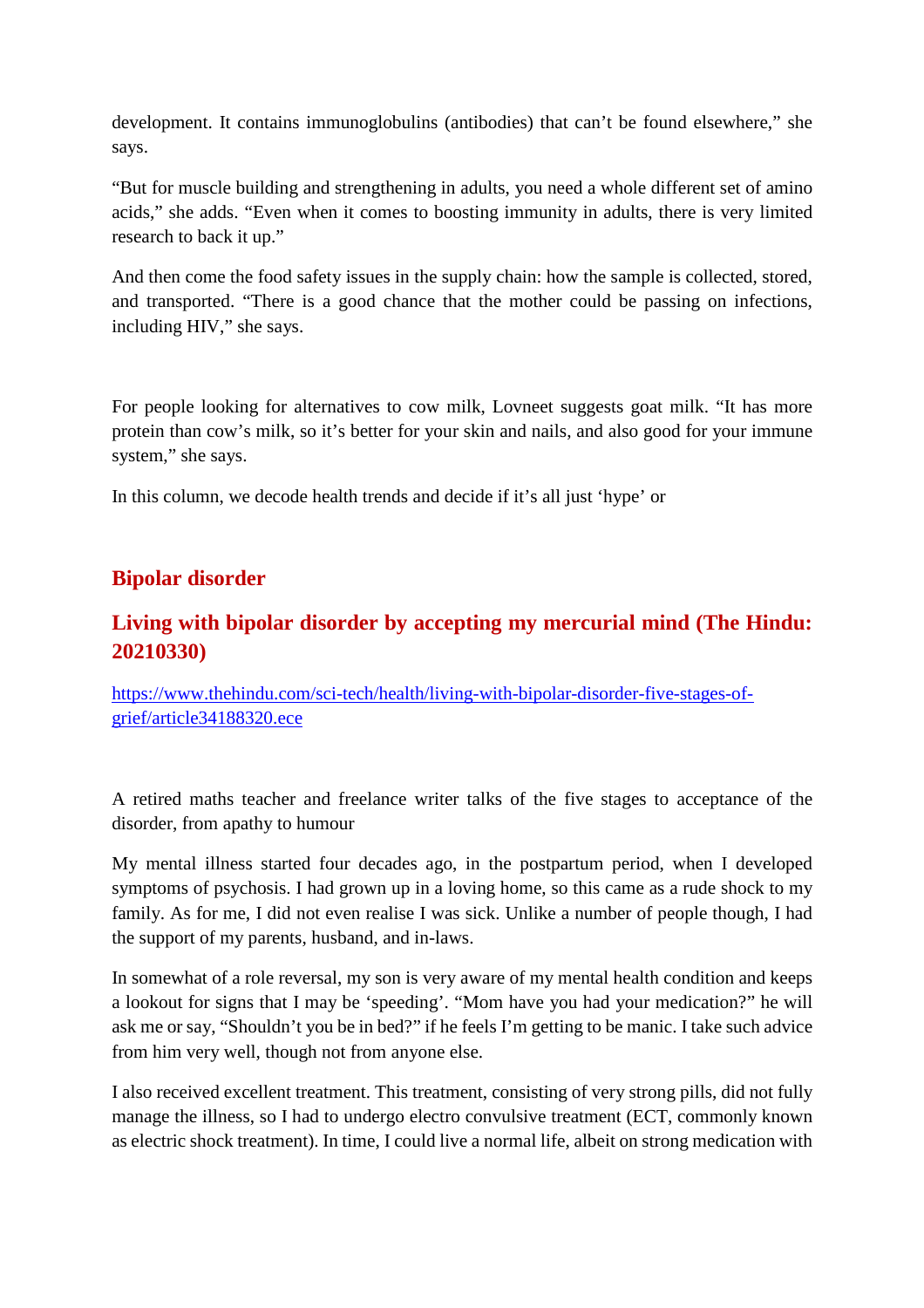development. It contains immunoglobulins (antibodies) that can't be found elsewhere," she says.

"But for muscle building and strengthening in adults, you need a whole different set of amino acids," she adds. "Even when it comes to boosting immunity in adults, there is very limited research to back it up."

And then come the food safety issues in the supply chain: how the sample is collected, stored, and transported. "There is a good chance that the mother could be passing on infections, including HIV," she says.

For people looking for alternatives to cow milk, Lovneet suggests goat milk. "It has more protein than cow's milk, so it's better for your skin and nails, and also good for your immune system," she says.

In this column, we decode health trends and decide if it's all just 'hype' or

# **Bipolar disorder**

# **Living with bipolar disorder by accepting my mercurial mind (The Hindu: 20210330)**

https://www.thehindu.com/sci-tech/health/living-with-bipolar-disorder-five-stages-ofgrief/article34188320.ece

A retired maths teacher and freelance writer talks of the five stages to acceptance of the disorder, from apathy to humour

My mental illness started four decades ago, in the postpartum period, when I developed symptoms of psychosis. I had grown up in a loving home, so this came as a rude shock to my family. As for me, I did not even realise I was sick. Unlike a number of people though, I had the support of my parents, husband, and in-laws.

In somewhat of a role reversal, my son is very aware of my mental health condition and keeps a lookout for signs that I may be 'speeding'. "Mom have you had your medication?" he will ask me or say, "Shouldn't you be in bed?" if he feels I'm getting to be manic. I take such advice from him very well, though not from anyone else.

I also received excellent treatment. This treatment, consisting of very strong pills, did not fully manage the illness, so I had to undergo electro convulsive treatment (ECT, commonly known as electric shock treatment). In time, I could live a normal life, albeit on strong medication with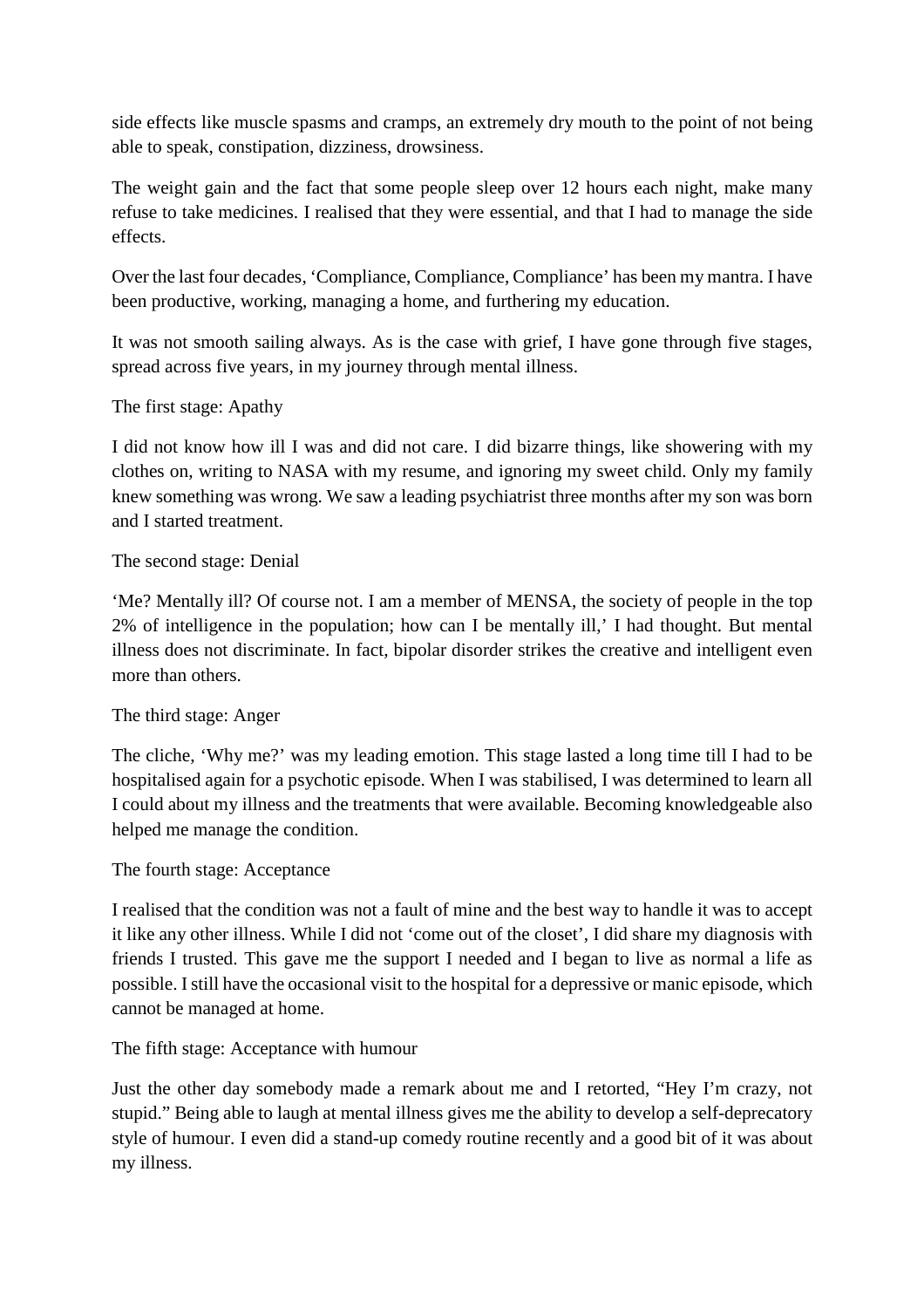side effects like muscle spasms and cramps, an extremely dry mouth to the point of not being able to speak, constipation, dizziness, drowsiness.

The weight gain and the fact that some people sleep over 12 hours each night, make many refuse to take medicines. I realised that they were essential, and that I had to manage the side effects.

Over the last four decades, 'Compliance, Compliance, Compliance' has been my mantra. I have been productive, working, managing a home, and furthering my education.

It was not smooth sailing always. As is the case with grief, I have gone through five stages, spread across five years, in my journey through mental illness.

The first stage: Apathy

I did not know how ill I was and did not care. I did bizarre things, like showering with my clothes on, writing to NASA with my resume, and ignoring my sweet child. Only my family knew something was wrong. We saw a leading psychiatrist three months after my son was born and I started treatment.

#### The second stage: Denial

'Me? Mentally ill? Of course not. I am a member of MENSA, the society of people in the top 2% of intelligence in the population; how can I be mentally ill,' I had thought. But mental illness does not discriminate. In fact, bipolar disorder strikes the creative and intelligent even more than others.

#### The third stage: Anger

The cliche, 'Why me?' was my leading emotion. This stage lasted a long time till I had to be hospitalised again for a psychotic episode. When I was stabilised, I was determined to learn all I could about my illness and the treatments that were available. Becoming knowledgeable also helped me manage the condition.

The fourth stage: Acceptance

I realised that the condition was not a fault of mine and the best way to handle it was to accept it like any other illness. While I did not 'come out of the closet', I did share my diagnosis with friends I trusted. This gave me the support I needed and I began to live as normal a life as possible. I still have the occasional visit to the hospital for a depressive or manic episode, which cannot be managed at home.

The fifth stage: Acceptance with humour

Just the other day somebody made a remark about me and I retorted, "Hey I'm crazy, not stupid." Being able to laugh at mental illness gives me the ability to develop a self-deprecatory style of humour. I even did a stand-up comedy routine recently and a good bit of it was about my illness.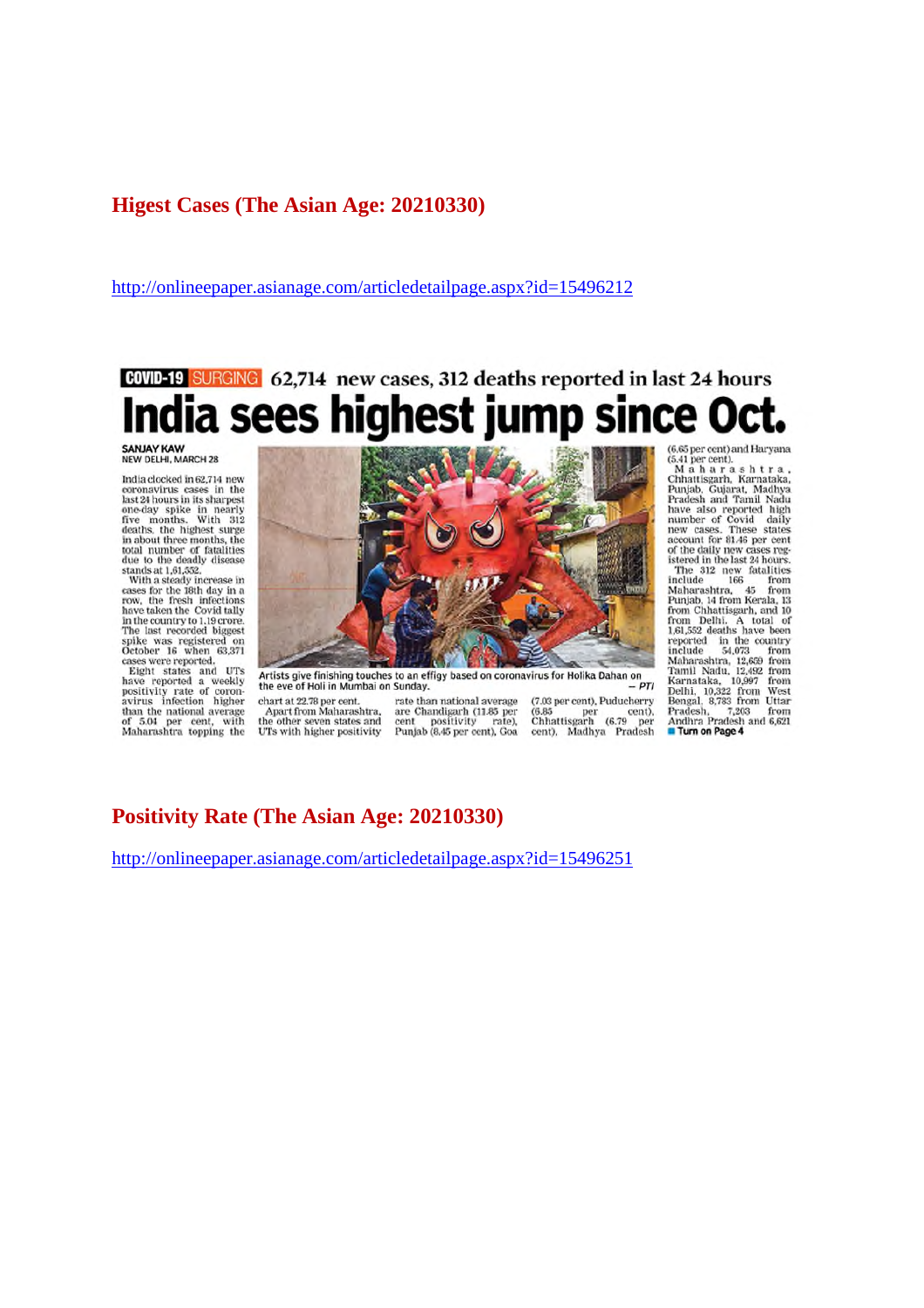#### **Higest Cases (The Asian Age: 20210330)**

#### http://onlineepaper.asianage.com/articledetailpage.aspx?id=15496212

# **COVID-19 SURGING** 62,714 new cases, 312 deaths reported in last 24 hours a sees highest jump since O

# **SANJAY KAW<br>NEW DELHI, MARCH 28**

India clocked in 62,714 new coronavirus cases in the last 24 hours in its sharpest<br>one-day spike in nearly<br>five months. With 312<br>deaths, the highest surge<br>in about three months, the<br>total number of fatalities<br>due to the deadly disease

due to the deadly disease<br>stands at 1,61,552.<br>With a steady increase in<br>cases for the 18th day in a<br>row, the fresh infections<br>have taken the Covid tally<br>in the country to 1.19 crore.

In the country to 1.19 crore.<br>The last recorded biggest<br>spike was registered on<br>October 16 when 63,371<br>coses were reported.<br>Eight states and UTs<br>have reported a weekly<br>positivity rate of coron-<br>avirus infection higher<br>than of 5.04 per cent, with<br>Maharashtra topping the



Artists give finishing touches to an effigy based on coronavirus for Holika Dahan on<br>the eve of Holi in Mumbai on Sunday. - PTI

chart at 22.78 per cent.<br>Apart from Maharashtra, the other seven states and UTs with higher positivity rate than national average<br>are Chandigarh (11.85 per<br>cent positivity rate),<br>Punjab (8.45 per cent), Goa

 $\begin{array}{ccc} (7.03\,\mathrm{per\,cent}), \mathrm{Puducherry}\\ (6.85\qquad\qquad \mathrm{per}\qquad \mathrm{cent}),\\ \mathrm{Chhattisgarh}\quad (6.79\qquad\mathrm{per}\, \mathrm{cent}),\quad \mathrm{Madhya}\quad\mathrm{Pradesh} \end{array}$ 

 $\begin{array}{c} (6.65\,\mathrm{per\,cent})\,\mathrm{and\,Haryana}\\ (5.41\,\mathrm{per\,cent}).\\ \mathrm{M}\,\mathrm{a}\,\mathrm{h}\,\mathrm{a}\,\mathrm{r}\,\mathrm{a}\,\mathrm{s}\,\mathrm{h}\,\mathrm{t}\,\mathrm{r}\,\mathrm{a}\\ \mathrm{Chhattsgark},\ \mathrm{Karnataka},\\ \mathrm{Punjab},\ \mathrm{Gujarat},\ \mathrm{Madhya}\\ \mathrm{Pradesh}\,\mathrm{and}\,\mathrm{Tamil}\,\mathrm{Nadu} \end{array}$ Pradesh and Tamil Nadu<br>humber of Covid daily<br>new cases. These states<br>account for 81.46 per cent<br>of the daily new cases registered in the last 24 hours. or me lang new cases regered in the last 24 hours.<br>The 312 new fatalities include 166 from<br>Maharashtra, 45 from Punjab, 14 from Kerala, 13<br>norm Chhattisgarh, and 10<br>from Delhi. A total of 1,61,552 deaths have been<br>proporte

#### **Positivity Rate (The Asian Age: 20210330)**

http://onlineepaper.asianage.com/articledetailpage.aspx?id=15496251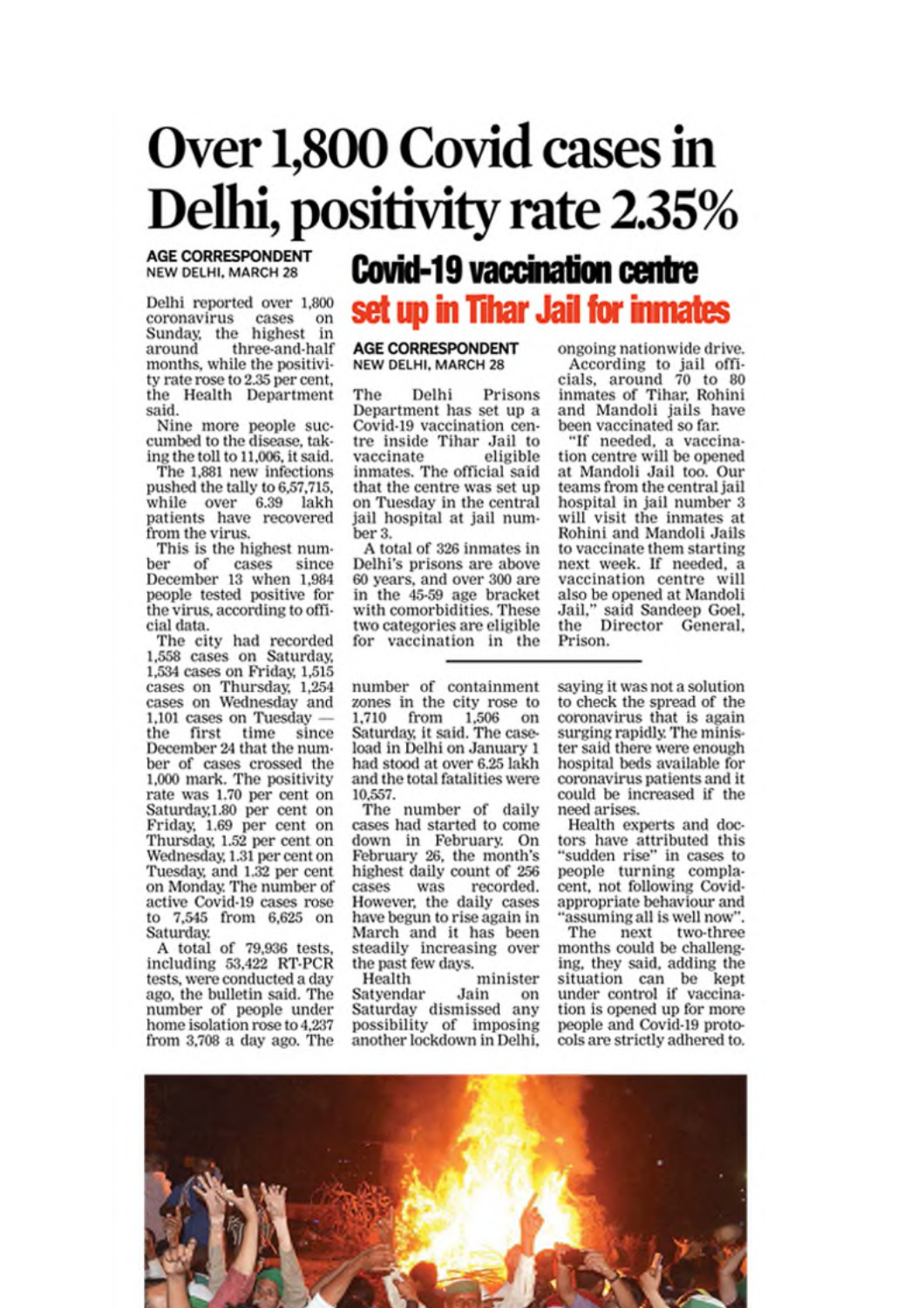# Over 1,800 Covid cases in Delhi, positivity rate 2.35%

**AGE CORRESPONDENT NEW DELHI, MARCH 28** 

Delhi reported over 1,800 coronavirus cases on Sunday, the highest in around three-and-half months, while the positivity rate rose to 2.35 per cent. the Health Department said.

Nine more people succumbed to the disease, taking the toll to 11,006, it said.

The 1,881 new infections pushed the tally to 6,57,715, while over 6.39 lakh patients have recovered from the virus.

This is the highest numof har cases since December 13 when 1,984 people tested positive for the virus, according to official data.

The city had recorded 1,558 cases on Saturday, 1,534 cases on Friday, 1,515 cases on Thursday, 1,254 cases on Wednesday and  $1,101$  cases on Tuesday  $$ the first time since December 24 that the number of cases crossed the 1,000 mark. The positivity rate was 1.70 per cent on Saturday, 1.80 per cent on Friday, 1.69 per cent on Thursday, 1.52 per cent on Wednesday, 1.31 per cent on Tuesday, and 1.32 per cent on Monday. The number of active Covid-19 cases rose to 7,545 from 6,625 on Saturday.

A total of 79,936 tests, including 53,422 RT-PCR tests, were conducted a day ago, the bulletin said. The number of people under home isolation rose to 4,237 from 3,708 a day ago. The

# **Covid-19 vaccination centre**

set up in Tihar Jail for inmates

#### **AGE CORRESPONDENT NEW DELHI, MARCH 28**

Delhi Prisons The Department has set up a Covid-19 vaccination centre inside Tihar Jail to vaccinate eligible inmates. The official said that the centre was set up on Tuesday in the central jail hospital at jail number 3.

A total of 326 inmates in Delhi's prisons are above 60 years, and over 300 are in the 45-59 age bracket with comorbidities. These two categories are eligible for vaccination in the ongoing nationwide drive.

According to jail officials, around 70 to 80 inmates of Tihar, Rohini and Mandoli jails have<br>been vaccinated so far.

"If needed, a vaccination centre will be opened at Mandoli Jail too. Our teams from the central jail hospital in jail number 3 will visit the inmates at Rohini and Mandoli Jails to vaccinate them starting next week. If needed, a vaccination centre will also be opened at Mandoli Jail," said Sandeep Goel,<br>the Director General, Prison.

number of containment zones in the city rose to 1,506 1.710 from on Saturday, it said. The caseload in Delhi on January 1 had stood at over 6.25 lakh and the total fatalities were 10.557.

The number of daily cases had started to come down in February. On February 26, the month's highest daily count of 256 recorded. was cases However, the daily cases have begun to rise again in March and it has been steadily increasing over the past few days.

Health minister Satyendar Jain on Saturday dismissed any possibility of imposing another lockdown in Delhi,

saying it was not a solution to check the spread of the coronavirus that is again surging rapidly. The minister said there were enough hospital beds available for coronavirus patients and it could be increased if the need arises.

Health experts and doctors have attributed this 'sudden rise" in cases to people turning complacent, not following Covidappropriate behaviour and 'assuming all is well now".

two-three The next months could be challenging, they said, adding the situation can be kept under control if vaccination is opened up for more people and Covid-19 protocols are strictly adhered to.

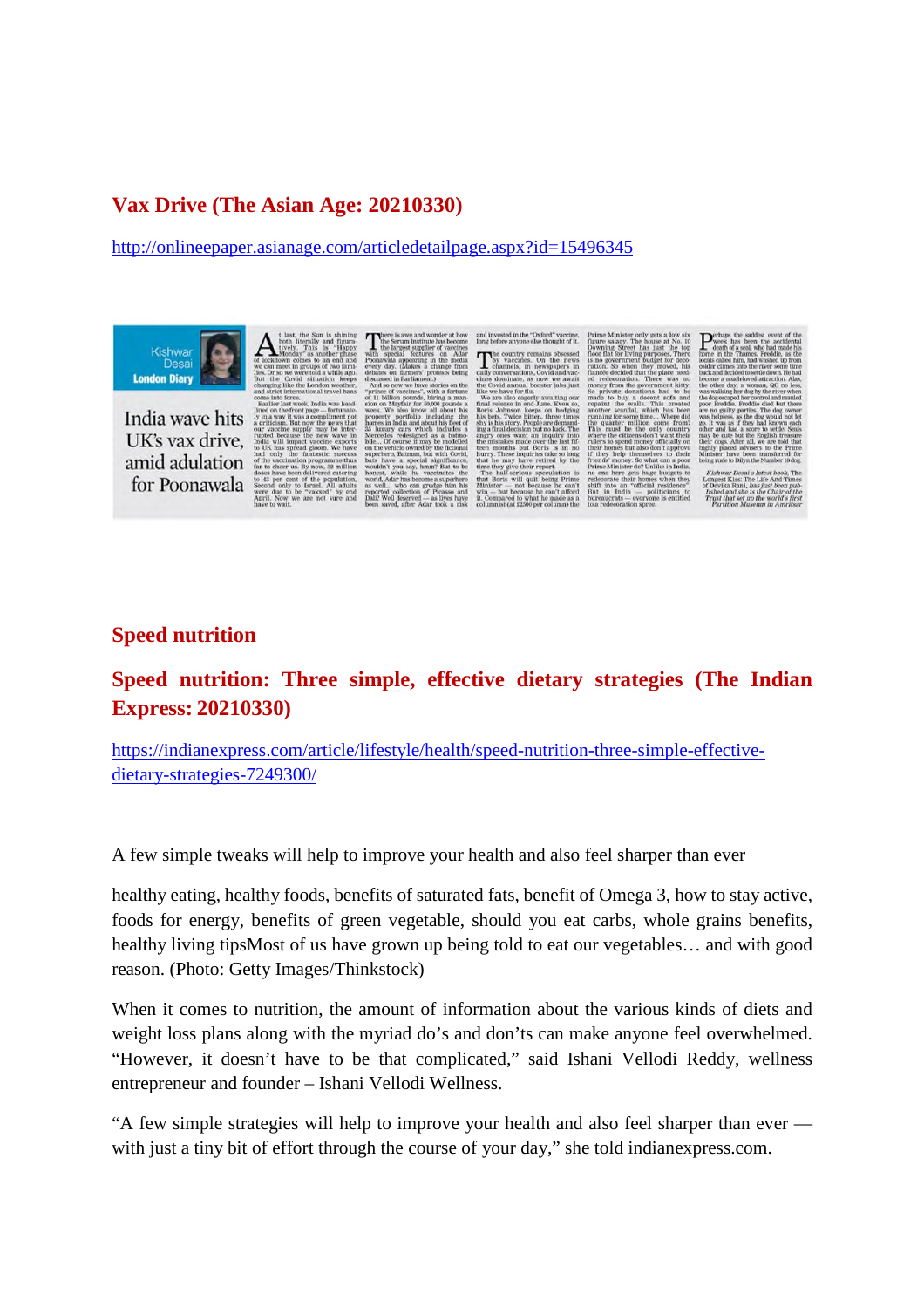# **Vax Drive (The Asian Age: 20210330)**

http://onlineepaper.asianage.com/articledetailpage.aspx?id=15496345

**London Diar** 

India wave hits UK's vax drive. amid adulation for Poonawala

#### **Speed nutrition**

# **Speed nutrition: Three simple, effective dietary strategies (The Indian Express: 20210330)**

https://indianexpress.com/article/lifestyle/health/speed-nutrition-three-simple-effectivedietary-strategies-7249300/

A few simple tweaks will help to improve your health and also feel sharper than ever

healthy eating, healthy foods, benefits of saturated fats, benefit of Omega 3, how to stay active, foods for energy, benefits of green vegetable, should you eat carbs, whole grains benefits, healthy living tipsMost of us have grown up being told to eat our vegetables… and with good reason. (Photo: Getty Images/Thinkstock)

When it comes to nutrition, the amount of information about the various kinds of diets and weight loss plans along with the myriad do's and don'ts can make anyone feel overwhelmed. "However, it doesn't have to be that complicated," said Ishani Vellodi Reddy, wellness entrepreneur and founder – Ishani Vellodi Wellness.

"A few simple strategies will help to improve your health and also feel sharper than ever with just a tiny bit of effort through the course of your day," she told indianexpress.com.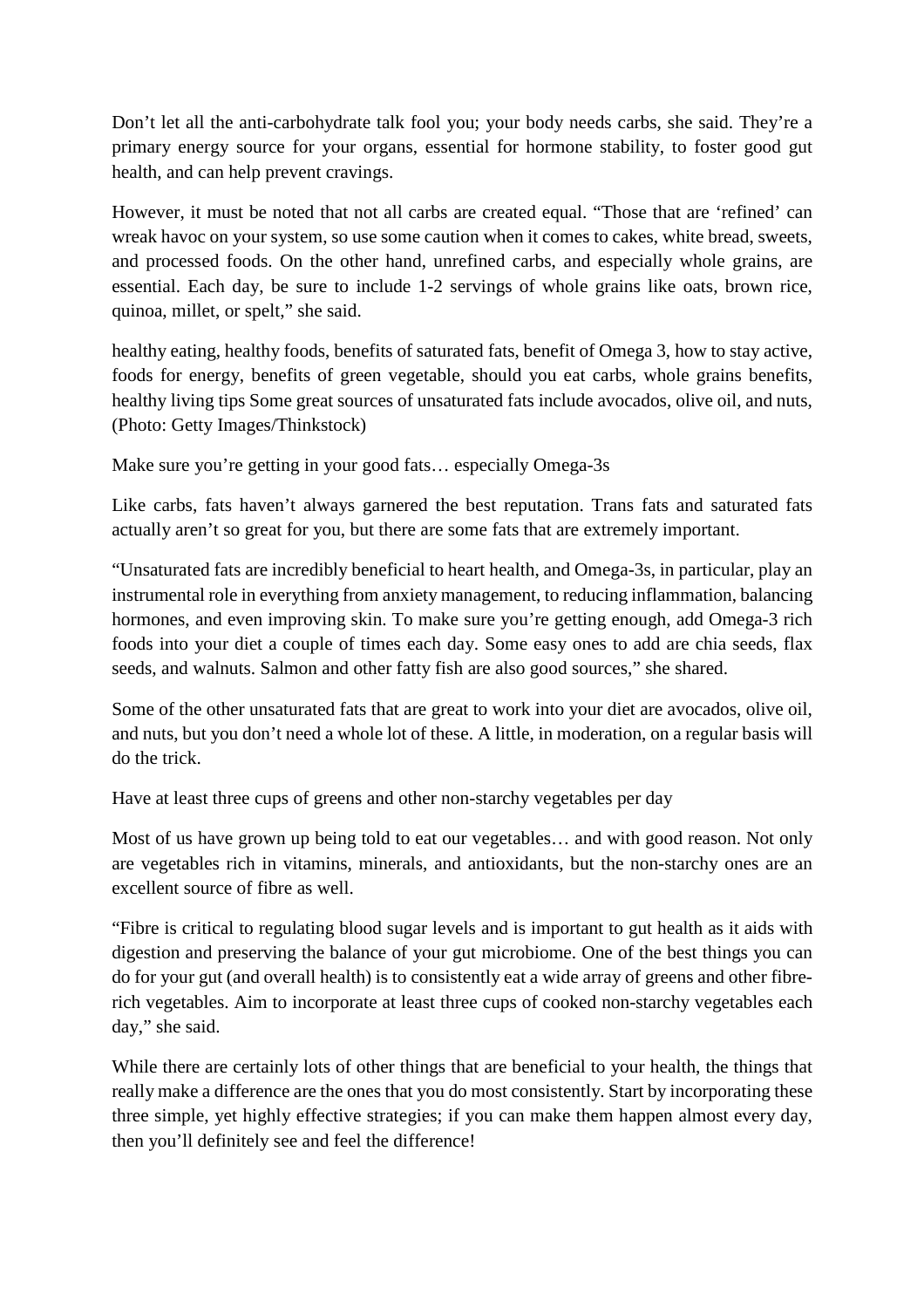Don't let all the anti-carbohydrate talk fool you; your body needs carbs, she said. They're a primary energy source for your organs, essential for hormone stability, to foster good gut health, and can help prevent cravings.

However, it must be noted that not all carbs are created equal. "Those that are 'refined' can wreak havoc on your system, so use some caution when it comes to cakes, white bread, sweets, and processed foods. On the other hand, unrefined carbs, and especially whole grains, are essential. Each day, be sure to include 1-2 servings of whole grains like oats, brown rice, quinoa, millet, or spelt," she said.

healthy eating, healthy foods, benefits of saturated fats, benefit of Omega 3, how to stay active, foods for energy, benefits of green vegetable, should you eat carbs, whole grains benefits, healthy living tips Some great sources of unsaturated fats include avocados, olive oil, and nuts, (Photo: Getty Images/Thinkstock)

Make sure you're getting in your good fats... especially Omega-3s

Like carbs, fats haven't always garnered the best reputation. Trans fats and saturated fats actually aren't so great for you, but there are some fats that are extremely important.

"Unsaturated fats are incredibly beneficial to heart health, and Omega-3s, in particular, play an instrumental role in everything from anxiety management, to reducing inflammation, balancing hormones, and even improving skin. To make sure you're getting enough, add Omega-3 rich foods into your diet a couple of times each day. Some easy ones to add are chia seeds, flax seeds, and walnuts. Salmon and other fatty fish are also good sources," she shared.

Some of the other unsaturated fats that are great to work into your diet are avocados, olive oil, and nuts, but you don't need a whole lot of these. A little, in moderation, on a regular basis will do the trick.

Have at least three cups of greens and other non-starchy vegetables per day

Most of us have grown up being told to eat our vegetables… and with good reason. Not only are vegetables rich in vitamins, minerals, and antioxidants, but the non-starchy ones are an excellent source of fibre as well.

"Fibre is critical to regulating blood sugar levels and is important to gut health as it aids with digestion and preserving the balance of your gut microbiome. One of the best things you can do for your gut (and overall health) is to consistently eat a wide array of greens and other fibrerich vegetables. Aim to incorporate at least three cups of cooked non-starchy vegetables each day," she said.

While there are certainly lots of other things that are beneficial to your health, the things that really make a difference are the ones that you do most consistently. Start by incorporating these three simple, yet highly effective strategies; if you can make them happen almost every day, then you'll definitely see and feel the difference!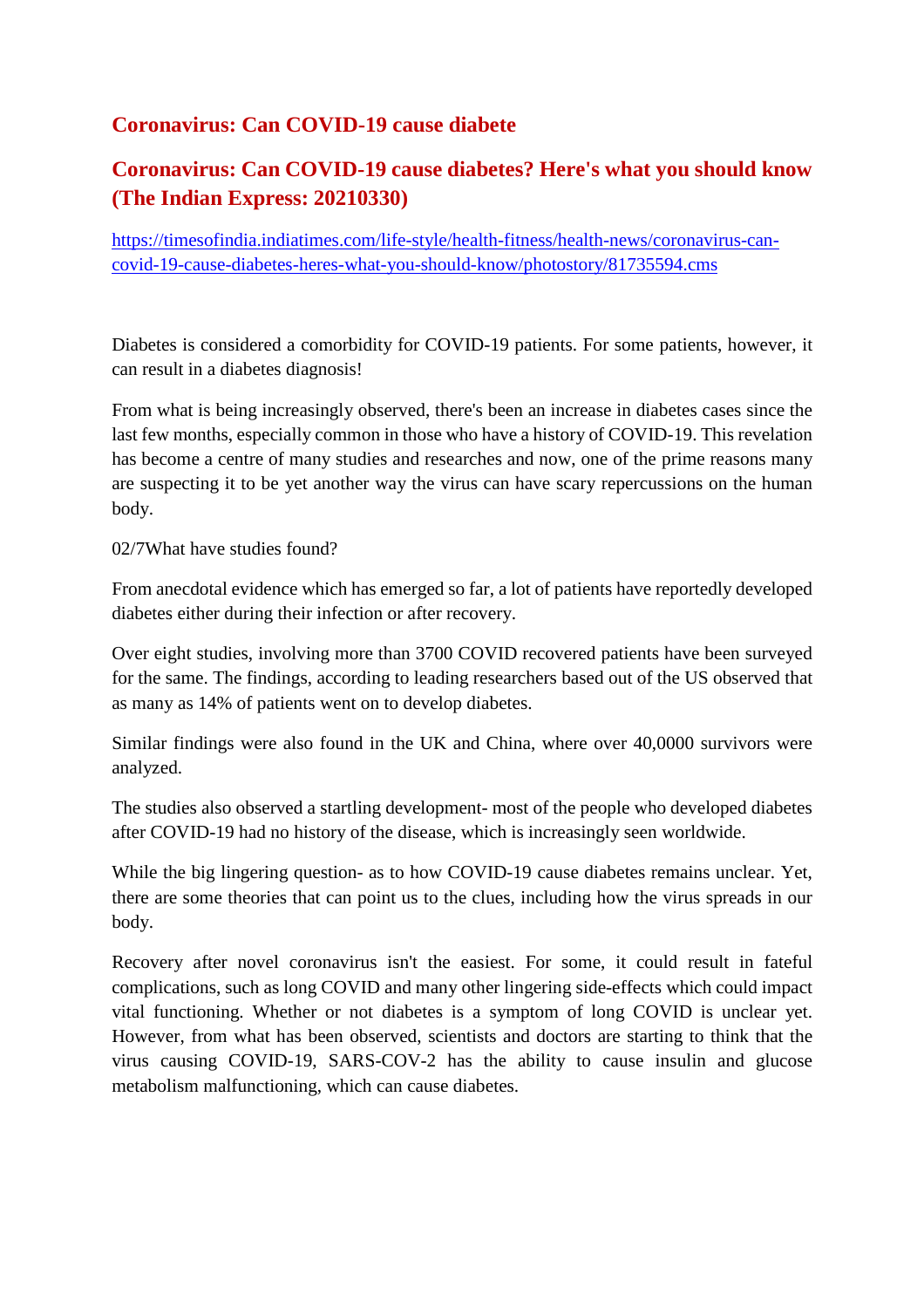# **Coronavirus: Can COVID-19 cause diabete**

# **Coronavirus: Can COVID-19 cause diabetes? Here's what you should know (The Indian Express: 20210330)**

https://timesofindia.indiatimes.com/life-style/health-fitness/health-news/coronavirus-cancovid-19-cause-diabetes-heres-what-you-should-know/photostory/81735594.cms

Diabetes is considered a comorbidity for COVID-19 patients. For some patients, however, it can result in a diabetes diagnosis!

From what is being increasingly observed, there's been an increase in diabetes cases since the last few months, especially common in those who have a history of COVID-19. This revelation has become a centre of many studies and researches and now, one of the prime reasons many are suspecting it to be yet another way the virus can have scary repercussions on the human body.

02/7What have studies found?

From anecdotal evidence which has emerged so far, a lot of patients have reportedly developed diabetes either during their infection or after recovery.

Over eight studies, involving more than 3700 COVID recovered patients have been surveyed for the same. The findings, according to leading researchers based out of the US observed that as many as 14% of patients went on to develop diabetes.

Similar findings were also found in the UK and China, where over 40,0000 survivors were analyzed.

The studies also observed a startling development- most of the people who developed diabetes after COVID-19 had no history of the disease, which is increasingly seen worldwide.

While the big lingering question- as to how COVID-19 cause diabetes remains unclear. Yet, there are some theories that can point us to the clues, including how the virus spreads in our body.

Recovery after novel coronavirus isn't the easiest. For some, it could result in fateful complications, such as long COVID and many other lingering side-effects which could impact vital functioning. Whether or not diabetes is a symptom of long COVID is unclear yet. However, from what has been observed, scientists and doctors are starting to think that the virus causing COVID-19, SARS-COV-2 has the ability to cause insulin and glucose metabolism malfunctioning, which can cause diabetes.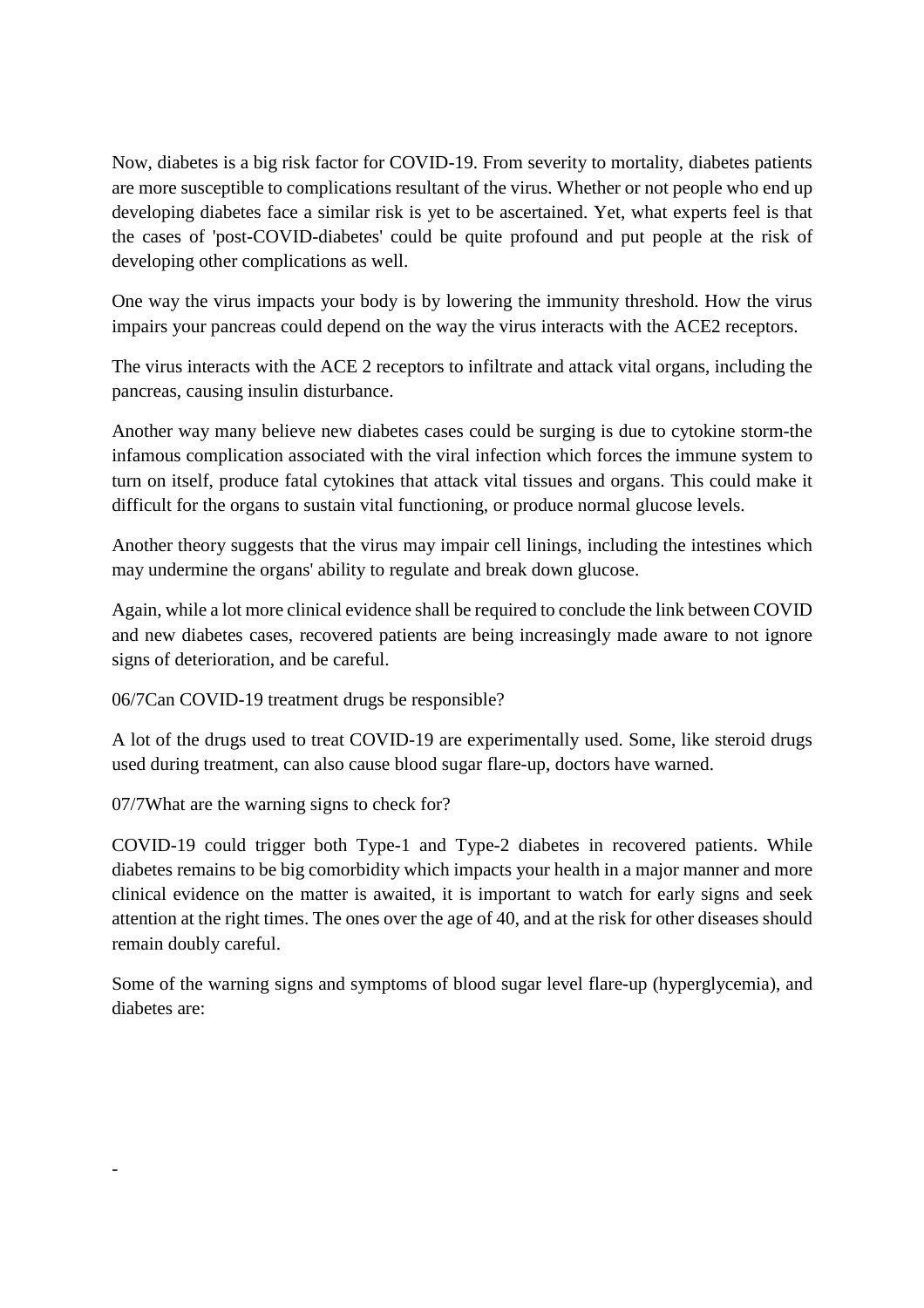Now, diabetes is a big risk factor for COVID-19. From severity to mortality, diabetes patients are more susceptible to complications resultant of the virus. Whether or not people who end up developing diabetes face a similar risk is yet to be ascertained. Yet, what experts feel is that the cases of 'post-COVID-diabetes' could be quite profound and put people at the risk of developing other complications as well.

One way the virus impacts your body is by lowering the immunity threshold. How the virus impairs your pancreas could depend on the way the virus interacts with the ACE2 receptors.

The virus interacts with the ACE 2 receptors to infiltrate and attack vital organs, including the pancreas, causing insulin disturbance.

Another way many believe new diabetes cases could be surging is due to cytokine storm-the infamous complication associated with the viral infection which forces the immune system to turn on itself, produce fatal cytokines that attack vital tissues and organs. This could make it difficult for the organs to sustain vital functioning, or produce normal glucose levels.

Another theory suggests that the virus may impair cell linings, including the intestines which may undermine the organs' ability to regulate and break down glucose.

Again, while a lot more clinical evidence shall be required to conclude the link between COVID and new diabetes cases, recovered patients are being increasingly made aware to not ignore signs of deterioration, and be careful.

06/7Can COVID-19 treatment drugs be responsible?

A lot of the drugs used to treat COVID-19 are experimentally used. Some, like steroid drugs used during treatment, can also cause blood sugar flare-up, doctors have warned.

07/7What are the warning signs to check for?

-

COVID-19 could trigger both Type-1 and Type-2 diabetes in recovered patients. While diabetes remains to be big comorbidity which impacts your health in a major manner and more clinical evidence on the matter is awaited, it is important to watch for early signs and seek attention at the right times. The ones over the age of 40, and at the risk for other diseases should remain doubly careful.

Some of the warning signs and symptoms of blood sugar level flare-up (hyperglycemia), and diabetes are: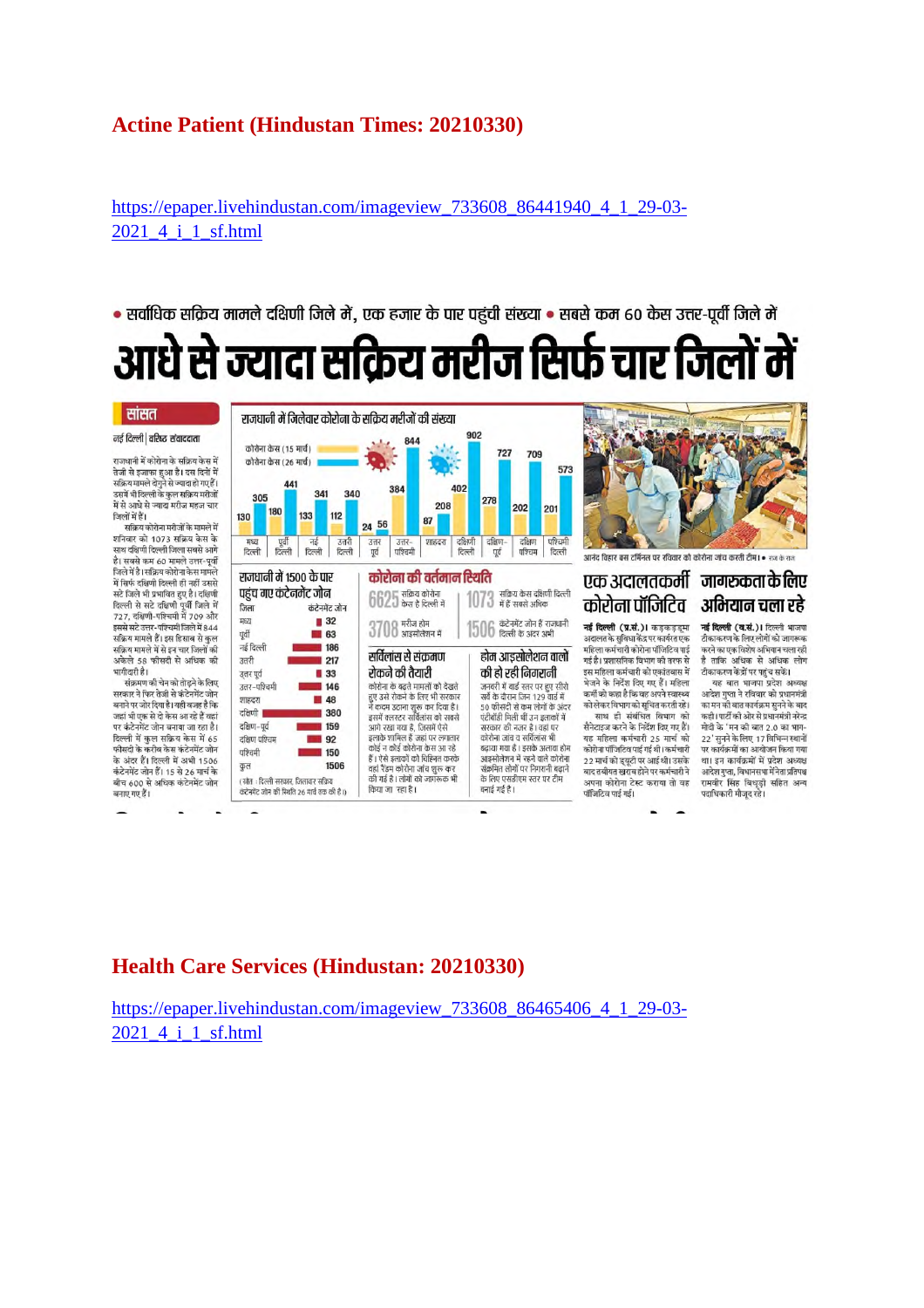#### **Actine Patient (Hindustan Times: 20210330)**

https://epaper.livehindustan.com/imageview\_733608\_86441940\_4\_1\_29-03- 2021 4 i 1 sf.html

• सर्वाधिक सक्रिय मामले दक्षिणी जिले में. एक हजार के पार पहंची संख्या • सबसे कम 60 केस उत्तर-पर्वी जिले में

आधे से ज्यादा सक्रिय मरीज सिर्फ चार जिलों में

#### सिसत

नई दिल्ली | तरिष्ट संवाददाता

.<br>राजकारी में कोरोरा के सकित केस में .<br>तेजी से इजाफा हुआ है। दस दिनों में .<br>सक्रिय मामले दोगुने से ज्यादा हो गए हैं। साम्राजनानल पानुन स बनाया छ नद्दछ।<br>उसमें भी दिल्ली के कुल सक्रिय मरीजों में से आधे से ज्यादा मरीज महज चार जिलों में हैं।

्<br>सक्रिय कोरोना मरीजों के मामले में शनिवार को 1073 सक्रिय केस के साथ दक्षिणी दिल्ली जिला सबसे आगे है। सबसे कम 60 मामले उत्तर-पर्वी रुन सबसे चन्ने छठ नानस उसरे पूजे<br>जिले में है। सक्रिय कोरोना केस मामले में सिर्फ दक्षिणी दिल्ली ही नहीं उससे सटे जिले भी प्रभावित हुए है। दक्षिणी इससे सटे उत्तर-पश्चिमी जिले में 844 सक्रिय मामले हैं। इस हिसाब से कल सक्रिय मामले में से इन चार जिलों की अकेले ५८ फीसदी से अधिक की भागीदारी है।

सरकार ने फिर तेजी से कंटेनमेंट जोन बनाने पर जोर दिया है। यही वजह है कि जहां भी एक से दो केस आ रहे हैं वहां पर कंटेनमेंट जोन बनाया जा रहा है। पर कटनाट जान बनाया जा रहा है।<br>दिल्ली में कुल सक्रिय केस में 65<br>फ़ीसदी के करीब केस कंटेनमेंट जोन के अंदर हैं। दिल्ली में अभी 1506 कंटेनमेंट जोन हैं। 15 से 26 मार्च के बीच 600 से अधिक कंटेनमेंट जोन बनाए गए हैं।

राजधानी में जिलेवार कोरोना के सक्रिय मरीजों की संख्या 902 कोरोना केस (15 मार्च) 727 709 कोरोना केस (26 मार्च) 573 384 402 341 340 305 278 208 202 201 180 133  $112$ 130 87  $24\frac{56}{5}$ उत्तर उत्तर–<br>पश्चिमी शाहदरा दक्षिणी दक्षिण-दक्षिण पश्चिम मध्य<br>दिल्ली पूर्वी<br>दिल्ली ्नई<br>दिल्ली उत्तरी<br>दिल्ली पर्व दिल्ली पर्व  $u$ जिनम दिल्ली आनंद विद्रार बस टर्मिनल पर रविवार को कोरोना जांच करती टीम। • राज वे राजधानी में 1500 के पार कोरोना की वर्तमान स्थिति पहंच गए कंटेनमेंट जोन  $6625$  सक्रिय कोरोना सक्रिय केस दक्षिणी दिल्ली<br>में हैं सबसे अधिक 1073 कोरोना पॉजिटिव .<br>कंटेनमेंट जोन जिला  $32$ मध्य  $3700$  मरीज होम<br>अड्सोलेशन में  $1506$  केटेनमेंट जोन हैं राजधानी<br>1506 दिल्ली के अंदर अभी नई दिल्ली (प्र.सं.)। कड़कड़डूमा पर्वी 63 अदालत के सविधा केंद्र पर कार्यरत एक नई दिल्ली | 186 .<br>महिला कर्मचारी कोरोना पॉजिटिव पाई होम आइसोलेशन वालों सर्विलांस से संक्रमण उत्तरी  $1217$ गर्द है। प्रशासनिक विभाग की तरफ से की हो रही निगरानी रोकने की तैयारी उत्तर पूर्व ■ 33 भेजने के निर्देश दिए गए हैं। महिला .<br>उत्तर–पश्चिमी कोरोना के बढते मामलों को देखते जनवरी में वार्ड स्तर पर हुए सीरो<br>सर्वे के दौरान जिन 129 वार्ड में 146 कर्मी को कहा है कि वह अपने स्वास्थ्य काराना के बढ़ेत मामला का दखते<br>हुए उसे रोकने के लिए भी सरकार<br>ने कदम उठाना शुरू कर दिया है।<br>इसमें क्लस्टर सर्विलांस को सबसे जनसम्मान को सार पर हुए सार<br>सर्वे के दौरान जिन 129 वार्ड में<br>50 फीसदी से कम लोगों के अंदर शाहदरा ■ 48 को लेकर विभाग को सूचित करती रहे। टक्षिणी । 1,380 साथ ही संबंधित विभाग को एंटीबॉडी मिली थीं उन इलाकों में दक्षिण-पूर्व | 159 इसमें बरारहर सावतारा का सबस<br>आगे रखा गया है, जिसमें ऐसे<br>इलाके शामिल हैं जहां पर लगातार रहाबाडा गया। या इन इयाका<br>सरकार की नजर है। वहां पर<br>कोरोना जांच व सर्विलांस भी सैनेटाइज करने के निर्देश दिए गए हैं। यह महिला कर्मचारी 25 मार्च को दक्षिण पश्चिम **192** कोर्द न कोर्द कोरोना केस आ रहे बढाया गया है। दसके अलावा होस कोरोना पॉजिटिव पाई गई थी। कर्मचारी ਧਾਇੰਦਸੀ 150 वढ़ावा गया है। इसके असावा होग<br>आइसोलेशन में रहने वाले कोरोना<br>संक्रमित लोगों पर निगरानी बढ़ाने हैं। ऐसे इलाकों को चिह्नित करके 22 मार्च को डयटी पर आई थी। उसके कुल 1506 वहां रैंडम कोरोना जांच शरू कर की गई है। लोगों को जागरूक भी के लिए एसडीएम स्तर पर टीम (स्रोत : दिल्ली सरकार, जिलावार सक्रिय अपना कोरोना टेस्ट कराया तो वह किया जा रहा है। बनाई गई है। कंटेनमेंट जोन की रिश्वति 26 मार्च तक की है !! ्<br>पॉजिटिव पाई गई।

# एक अदालतकर्मी जागरूकता के लिए अभियान चला रहे

नई दिल्ली (व.सं.)। दिल्ली भाजपा टीकाकरण के लिए लोगों को जागरूक जनगरन महाराष्ट्र लाग माना है।<br>करने का एक विशेष अभियान चला रही<br>है ताकि अधिक से अधिक लोग टीकाकरण केंद्रों पर पहुंच सकें। यह बात भाजपा पटेश अध्यक्ष

आदेश गुप्ता ने रविवार को प्रधानमंत्री का मन की बात कार्यक्रम सुनने के बाद कही। पार्टी की ओर से प्रधानमंत्री नरेन्द्र मोदी के 'मन की बात 2.0 का भाग-22' सनने के लिए 17 विभिन्न स्थानों पर कार्यक्रमों का आयोजन किया गया था। इन कार्यक्रमों में प्रदेश अध्यक्ष आदेश गुप्ता, विधानसभा में नेता प्रतिपक्ष रामवीर सिंह बिधडी सहित अन्य .<br>पदाधिकारी मौजूद रहे।

# **Health Care Services (Hindustan: 20210330)**

https://epaper.livehindustan.com/imageview\_733608\_86465406\_4\_1\_29-03- 2021 4 i 1 sf.html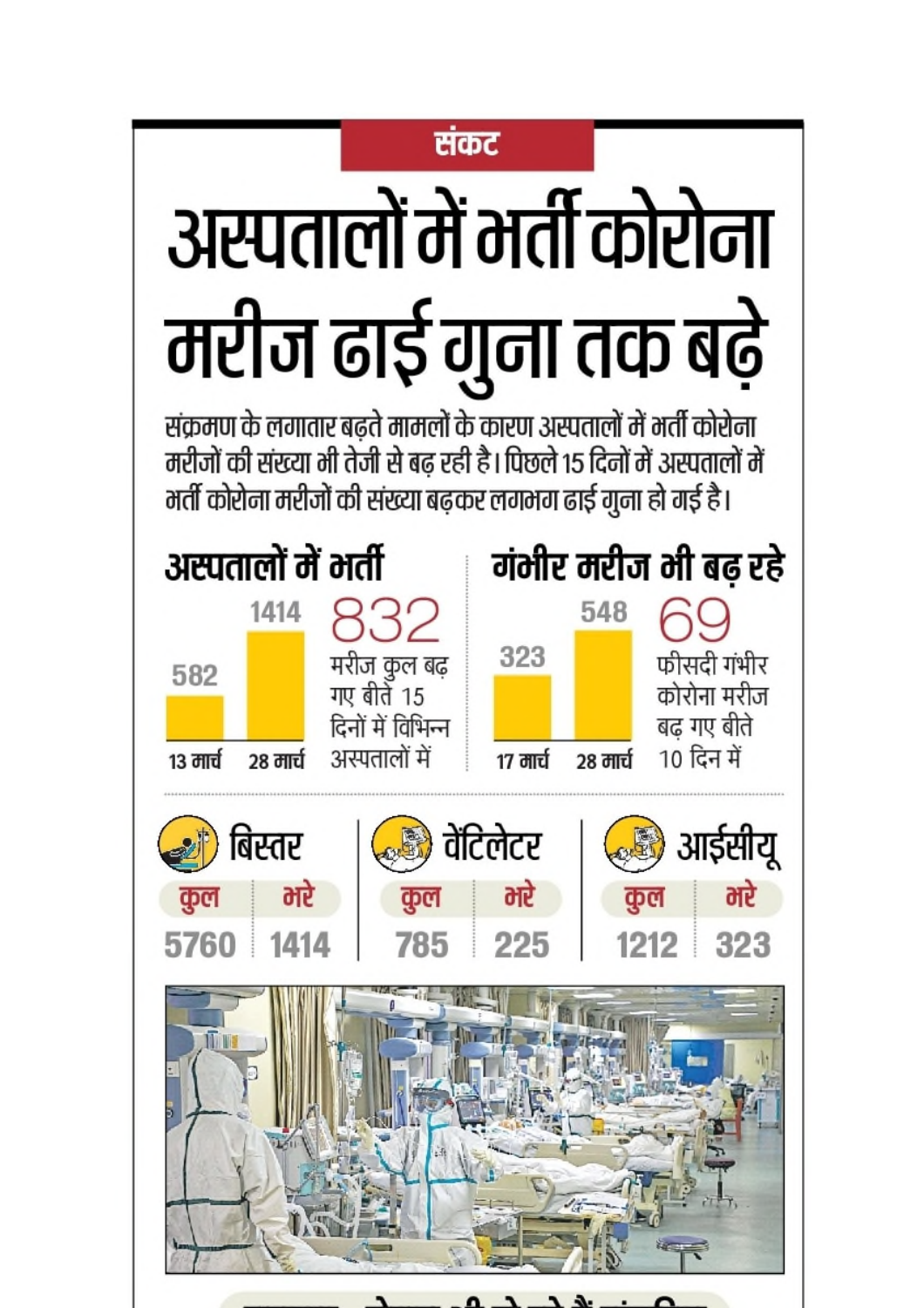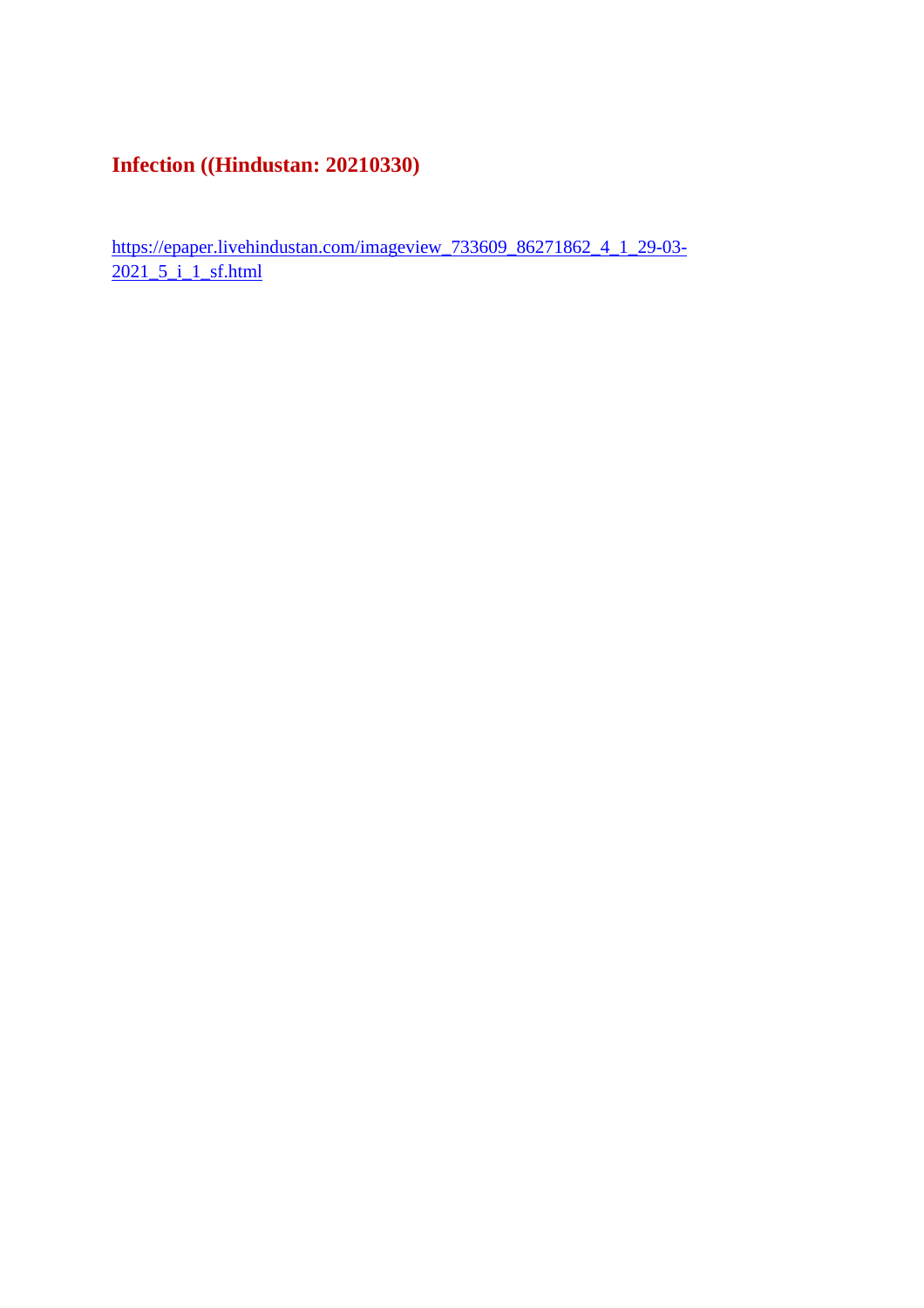**Infection ((Hindustan: 20210330)**

https://epaper.livehindustan.com/imageview\_733609\_86271862\_4\_1\_29-03- 2021\_5\_i\_1\_sf.html